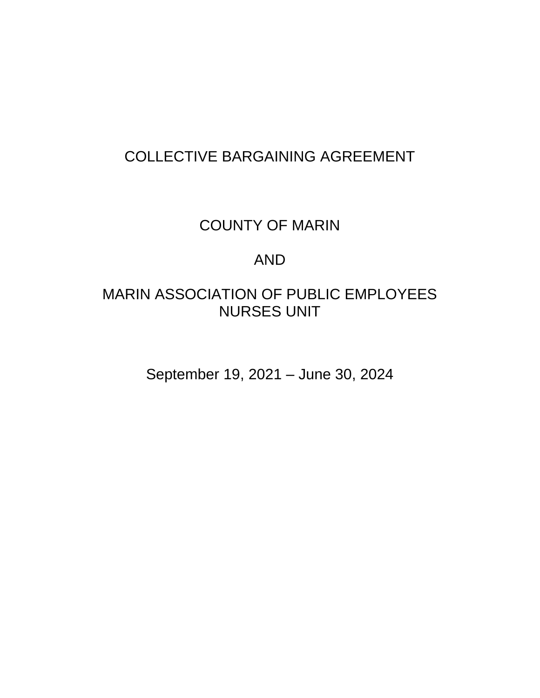# COLLECTIVE BARGAINING AGREEMENT

# COUNTY OF MARIN

## AND

# MARIN ASSOCIATION OF PUBLIC EMPLOYEES NURSES UNIT

September 19, 2021 – June 30, 2024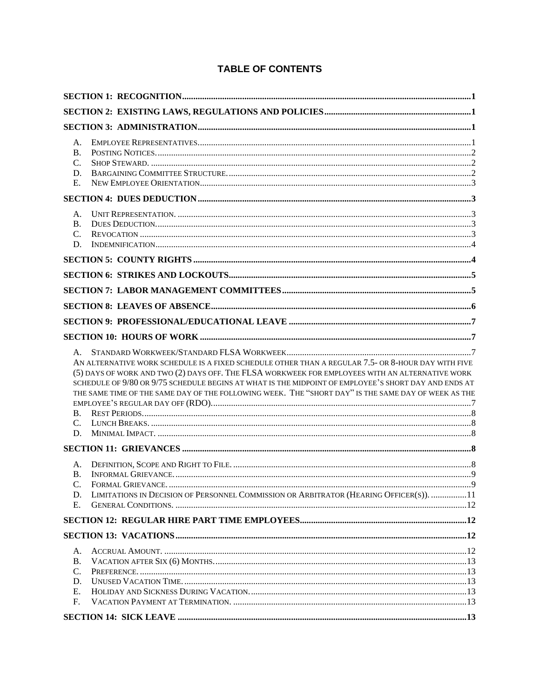## **TABLE OF CONTENTS**

| А.<br>B <sub>1</sub><br>C.<br>D.<br>E.                                                                                                                                                                                                                                                                                                                                                                                                             |  |
|----------------------------------------------------------------------------------------------------------------------------------------------------------------------------------------------------------------------------------------------------------------------------------------------------------------------------------------------------------------------------------------------------------------------------------------------------|--|
|                                                                                                                                                                                                                                                                                                                                                                                                                                                    |  |
| А.<br><b>B.</b><br>C.<br>D.                                                                                                                                                                                                                                                                                                                                                                                                                        |  |
|                                                                                                                                                                                                                                                                                                                                                                                                                                                    |  |
|                                                                                                                                                                                                                                                                                                                                                                                                                                                    |  |
|                                                                                                                                                                                                                                                                                                                                                                                                                                                    |  |
|                                                                                                                                                                                                                                                                                                                                                                                                                                                    |  |
|                                                                                                                                                                                                                                                                                                                                                                                                                                                    |  |
|                                                                                                                                                                                                                                                                                                                                                                                                                                                    |  |
| A.<br>AN ALTERNATIVE WORK SCHEDULE IS A FIXED SCHEDULE OTHER THAN A REGULAR 7.5- OR 8-HOUR DAY WITH FIVE<br>(5) DAYS OF WORK AND TWO (2) DAYS OFF. THE FLSA WORKWEEK FOR EMPLOYEES WITH AN ALTERNATIVE WORK<br>SCHEDULE OF 9/80 OR 9/75 SCHEDULE BEGINS AT WHAT IS THE MIDPOINT OF EMPLOYEE'S SHORT DAY AND ENDS AT<br>THE SAME TIME OF THE SAME DAY OF THE FOLLOWING WEEK. THE "SHORT DAY" IS THE SAME DAY OF WEEK AS THE<br>$\mathbf{C}$ .<br>D. |  |
|                                                                                                                                                                                                                                                                                                                                                                                                                                                    |  |
| А.<br><b>B.</b><br>C.<br>LIMITATIONS IN DECISION OF PERSONNEL COMMISSION OR ARBITRATOR (HEARING OFFICER(S)).  11<br>D.<br>Е.                                                                                                                                                                                                                                                                                                                       |  |
|                                                                                                                                                                                                                                                                                                                                                                                                                                                    |  |
|                                                                                                                                                                                                                                                                                                                                                                                                                                                    |  |
| А.<br><b>B.</b><br>C.<br>D.<br>Ε.<br>F.                                                                                                                                                                                                                                                                                                                                                                                                            |  |
|                                                                                                                                                                                                                                                                                                                                                                                                                                                    |  |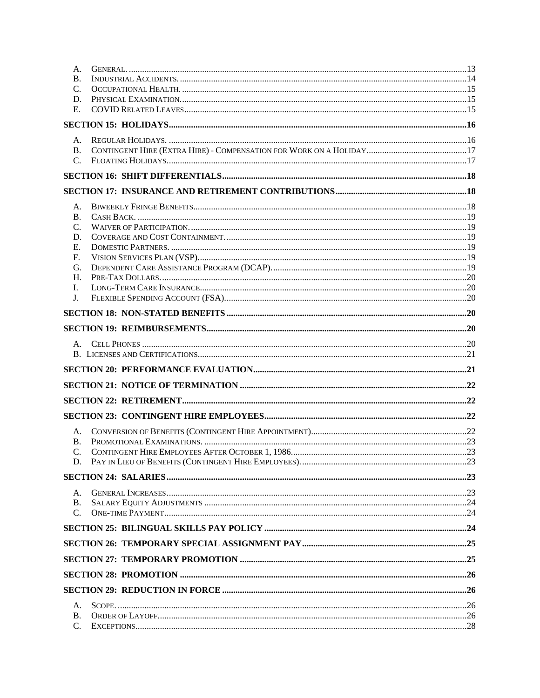| А.              |  |
|-----------------|--|
| B.              |  |
| $\mathcal{C}$ . |  |
| D.              |  |
| Ε.              |  |
|                 |  |
| Α.              |  |
| <b>B.</b>       |  |
| $\mathcal{C}$ . |  |
|                 |  |
|                 |  |
| A.              |  |
| <b>B.</b>       |  |
| C.              |  |
| D.              |  |
| Е.              |  |
| F.              |  |
| G.              |  |
| Н.              |  |
| I.              |  |
| J.              |  |
|                 |  |
|                 |  |
|                 |  |
| $A_{1}$         |  |
|                 |  |
|                 |  |
|                 |  |
|                 |  |
|                 |  |
| А.              |  |
| <b>B.</b>       |  |
| $\mathcal{C}$ . |  |
|                 |  |
|                 |  |
| Α.              |  |
| <b>B.</b>       |  |
| $C_{\cdot}$     |  |
|                 |  |
|                 |  |
|                 |  |
|                 |  |
|                 |  |
|                 |  |
|                 |  |
| Α.              |  |
| Β.              |  |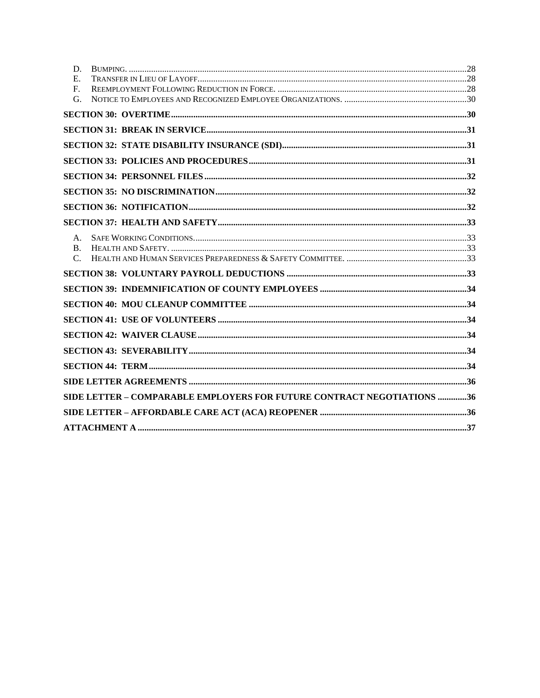| D.             |                                                                        |  |
|----------------|------------------------------------------------------------------------|--|
| E.             |                                                                        |  |
| $F_{\cdot}$    |                                                                        |  |
| G.             |                                                                        |  |
|                |                                                                        |  |
|                |                                                                        |  |
|                |                                                                        |  |
|                |                                                                        |  |
|                |                                                                        |  |
|                |                                                                        |  |
|                |                                                                        |  |
|                |                                                                        |  |
| $A_{-}$        |                                                                        |  |
| $\mathbf{B}$ . |                                                                        |  |
| $\mathcal{C}$  |                                                                        |  |
|                |                                                                        |  |
|                |                                                                        |  |
|                |                                                                        |  |
|                |                                                                        |  |
|                |                                                                        |  |
|                |                                                                        |  |
|                |                                                                        |  |
|                |                                                                        |  |
|                | SIDE LETTER - COMPARABLE EMPLOYERS FOR FUTURE CONTRACT NEGOTIATIONS 36 |  |
|                |                                                                        |  |
|                |                                                                        |  |
|                |                                                                        |  |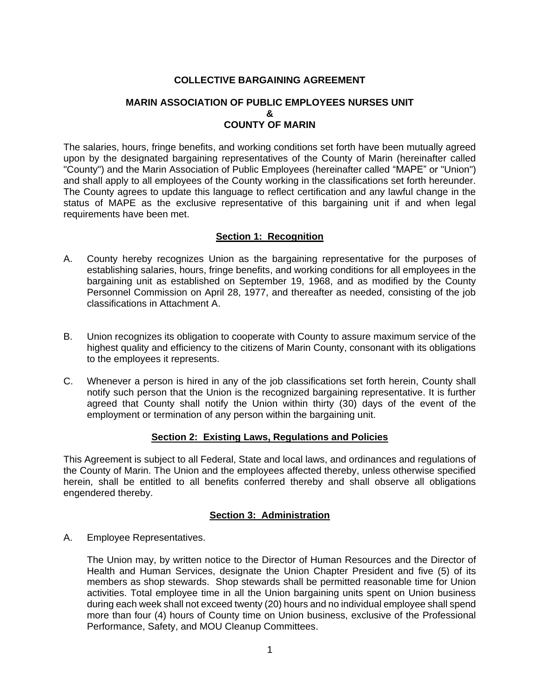## **COLLECTIVE BARGAINING AGREEMENT**

## **MARIN ASSOCIATION OF PUBLIC EMPLOYEES NURSES UNIT & COUNTY OF MARIN**

The salaries, hours, fringe benefits, and working conditions set forth have been mutually agreed upon by the designated bargaining representatives of the County of Marin (hereinafter called "County") and the Marin Association of Public Employees (hereinafter called "MAPE" or "Union") and shall apply to all employees of the County working in the classifications set forth hereunder. The County agrees to update this language to reflect certification and any lawful change in the status of MAPE as the exclusive representative of this bargaining unit if and when legal requirements have been met.

### **Section 1: Recognition**

- <span id="page-4-0"></span>A. County hereby recognizes Union as the bargaining representative for the purposes of establishing salaries, hours, fringe benefits, and working conditions for all employees in the bargaining unit as established on September 19, 1968, and as modified by the County Personnel Commission on April 28, 1977, and thereafter as needed, consisting of the job classifications in Attachment A.
- B. Union recognizes its obligation to cooperate with County to assure maximum service of the highest quality and efficiency to the citizens of Marin County, consonant with its obligations to the employees it represents.
- C. Whenever a person is hired in any of the job classifications set forth herein, County shall notify such person that the Union is the recognized bargaining representative. It is further agreed that County shall notify the Union within thirty (30) days of the event of the employment or termination of any person within the bargaining unit.

## **Section 2: Existing Laws, Regulations and Policies**

<span id="page-4-1"></span>This Agreement is subject to all Federal, State and local laws, and ordinances and regulations of the County of Marin. The Union and the employees affected thereby, unless otherwise specified herein, shall be entitled to all benefits conferred thereby and shall observe all obligations engendered thereby.

## **Section 3: Administration**

<span id="page-4-3"></span><span id="page-4-2"></span>A. Employee Representatives.

The Union may, by written notice to the Director of Human Resources and the Director of Health and Human Services, designate the Union Chapter President and five (5) of its members as shop stewards. Shop stewards shall be permitted reasonable time for Union activities. Total employee time in all the Union bargaining units spent on Union business during each week shall not exceed twenty (20) hours and no individual employee shall spend more than four (4) hours of County time on Union business, exclusive of the Professional Performance, Safety, and MOU Cleanup Committees.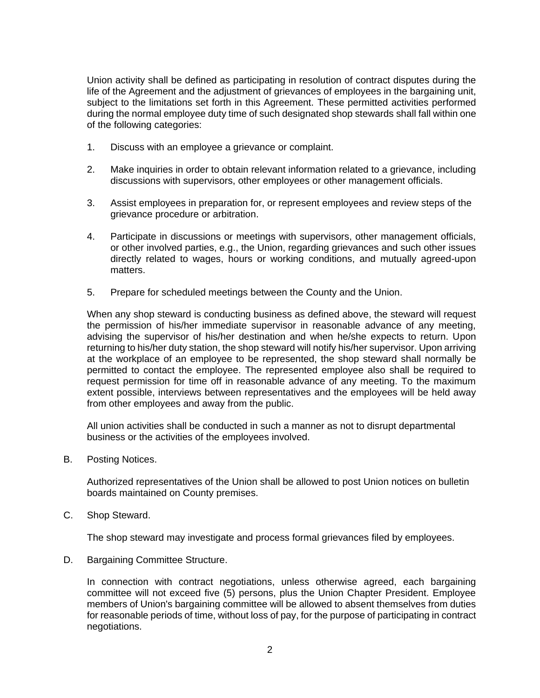Union activity shall be defined as participating in resolution of contract disputes during the life of the Agreement and the adjustment of grievances of employees in the bargaining unit, subject to the limitations set forth in this Agreement. These permitted activities performed during the normal employee duty time of such designated shop stewards shall fall within one of the following categories:

- 1. Discuss with an employee a grievance or complaint.
- 2. Make inquiries in order to obtain relevant information related to a grievance, including discussions with supervisors, other employees or other management officials.
- 3. Assist employees in preparation for, or represent employees and review steps of the grievance procedure or arbitration.
- 4. Participate in discussions or meetings with supervisors, other management officials, or other involved parties, e.g., the Union, regarding grievances and such other issues directly related to wages, hours or working conditions, and mutually agreed-upon matters.
- 5. Prepare for scheduled meetings between the County and the Union.

When any shop steward is conducting business as defined above, the steward will request the permission of his/her immediate supervisor in reasonable advance of any meeting, advising the supervisor of his/her destination and when he/she expects to return. Upon returning to his/her duty station, the shop steward will notify his/her supervisor. Upon arriving at the workplace of an employee to be represented, the shop steward shall normally be permitted to contact the employee. The represented employee also shall be required to request permission for time off in reasonable advance of any meeting. To the maximum extent possible, interviews between representatives and the employees will be held away from other employees and away from the public.

All union activities shall be conducted in such a manner as not to disrupt departmental business or the activities of the employees involved.

<span id="page-5-0"></span>B. Posting Notices.

Authorized representatives of the Union shall be allowed to post Union notices on bulletin boards maintained on County premises.

<span id="page-5-1"></span>C. Shop Steward.

The shop steward may investigate and process formal grievances filed by employees.

<span id="page-5-2"></span>D. Bargaining Committee Structure.

In connection with contract negotiations, unless otherwise agreed, each bargaining committee will not exceed five (5) persons, plus the Union Chapter President. Employee members of Union's bargaining committee will be allowed to absent themselves from duties for reasonable periods of time, without loss of pay, for the purpose of participating in contract negotiations.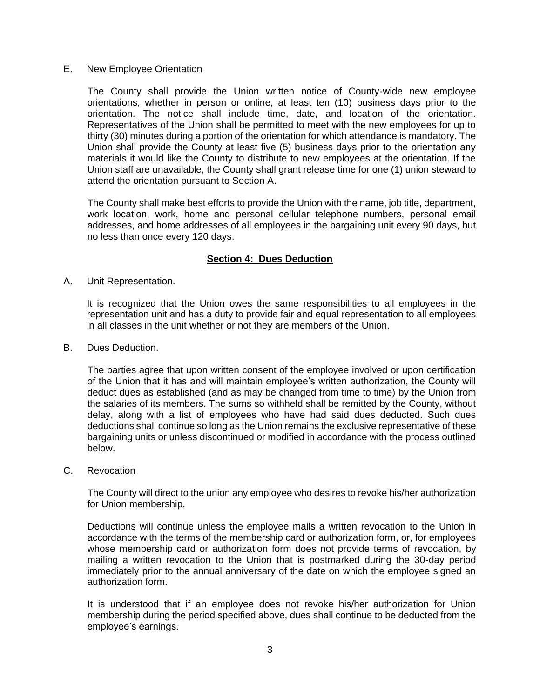<span id="page-6-0"></span>E. New Employee Orientation

The County shall provide the Union written notice of County-wide new employee orientations, whether in person or online, at least ten (10) business days prior to the orientation. The notice shall include time, date, and location of the orientation. Representatives of the Union shall be permitted to meet with the new employees for up to thirty (30) minutes during a portion of the orientation for which attendance is mandatory. The Union shall provide the County at least five (5) business days prior to the orientation any materials it would like the County to distribute to new employees at the orientation. If the Union staff are unavailable, the County shall grant release time for one (1) union steward to attend the orientation pursuant to Section A.

The County shall make best efforts to provide the Union with the name, job title, department, work location, work, home and personal cellular telephone numbers, personal email addresses, and home addresses of all employees in the bargaining unit every 90 days, but no less than once every 120 days.

## **Section 4: Dues Deduction**

<span id="page-6-2"></span><span id="page-6-1"></span>A. Unit Representation.

It is recognized that the Union owes the same responsibilities to all employees in the representation unit and has a duty to provide fair and equal representation to all employees in all classes in the unit whether or not they are members of the Union.

<span id="page-6-3"></span>B. Dues Deduction.

The parties agree that upon written consent of the employee involved or upon certification of the Union that it has and will maintain employee's written authorization, the County will deduct dues as established (and as may be changed from time to time) by the Union from the salaries of its members. The sums so withheld shall be remitted by the County, without delay, along with a list of employees who have had said dues deducted. Such dues deductions shall continue so long as the Union remains the exclusive representative of these bargaining units or unless discontinued or modified in accordance with the process outlined below.

<span id="page-6-4"></span>C. Revocation

The County will direct to the union any employee who desires to revoke his/her authorization for Union membership.

Deductions will continue unless the employee mails a written revocation to the Union in accordance with the terms of the membership card or authorization form, or, for employees whose membership card or authorization form does not provide terms of revocation, by mailing a written revocation to the Union that is postmarked during the 30-day period immediately prior to the annual anniversary of the date on which the employee signed an authorization form.

It is understood that if an employee does not revoke his/her authorization for Union membership during the period specified above, dues shall continue to be deducted from the employee's earnings.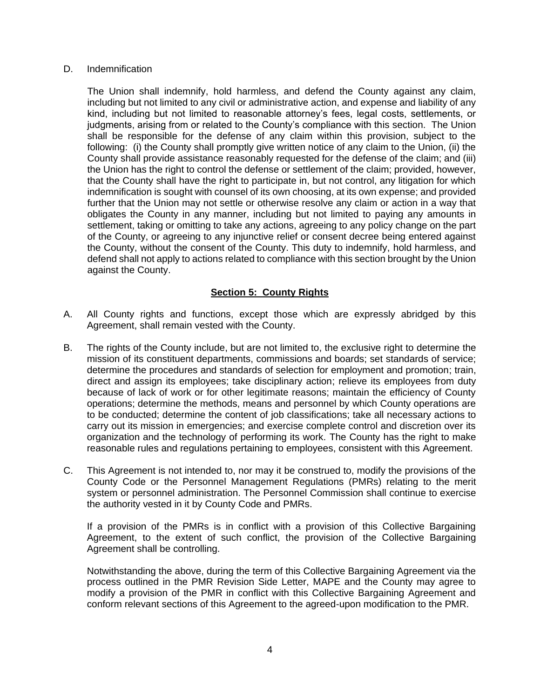#### <span id="page-7-0"></span>D. Indemnification

The Union shall indemnify, hold harmless, and defend the County against any claim, including but not limited to any civil or administrative action, and expense and liability of any kind, including but not limited to reasonable attorney's fees, legal costs, settlements, or judgments, arising from or related to the County's compliance with this section. The Union shall be responsible for the defense of any claim within this provision, subject to the following: (i) the County shall promptly give written notice of any claim to the Union, (ii) the County shall provide assistance reasonably requested for the defense of the claim; and (iii) the Union has the right to control the defense or settlement of the claim; provided, however, that the County shall have the right to participate in, but not control, any litigation for which indemnification is sought with counsel of its own choosing, at its own expense; and provided further that the Union may not settle or otherwise resolve any claim or action in a way that obligates the County in any manner, including but not limited to paying any amounts in settlement, taking or omitting to take any actions, agreeing to any policy change on the part of the County, or agreeing to any injunctive relief or consent decree being entered against the County, without the consent of the County. This duty to indemnify, hold harmless, and defend shall not apply to actions related to compliance with this section brought by the Union against the County.

## **Section 5: County Rights**

- <span id="page-7-1"></span>A. All County rights and functions, except those which are expressly abridged by this Agreement, shall remain vested with the County.
- B. The rights of the County include, but are not limited to, the exclusive right to determine the mission of its constituent departments, commissions and boards; set standards of service; determine the procedures and standards of selection for employment and promotion; train, direct and assign its employees; take disciplinary action; relieve its employees from duty because of lack of work or for other legitimate reasons; maintain the efficiency of County operations; determine the methods, means and personnel by which County operations are to be conducted; determine the content of job classifications; take all necessary actions to carry out its mission in emergencies; and exercise complete control and discretion over its organization and the technology of performing its work. The County has the right to make reasonable rules and regulations pertaining to employees, consistent with this Agreement.
- C. This Agreement is not intended to, nor may it be construed to, modify the provisions of the County Code or the Personnel Management Regulations (PMRs) relating to the merit system or personnel administration. The Personnel Commission shall continue to exercise the authority vested in it by County Code and PMRs.

If a provision of the PMRs is in conflict with a provision of this Collective Bargaining Agreement, to the extent of such conflict, the provision of the Collective Bargaining Agreement shall be controlling.

Notwithstanding the above, during the term of this Collective Bargaining Agreement via the process outlined in the PMR Revision Side Letter, MAPE and the County may agree to modify a provision of the PMR in conflict with this Collective Bargaining Agreement and conform relevant sections of this Agreement to the agreed-upon modification to the PMR.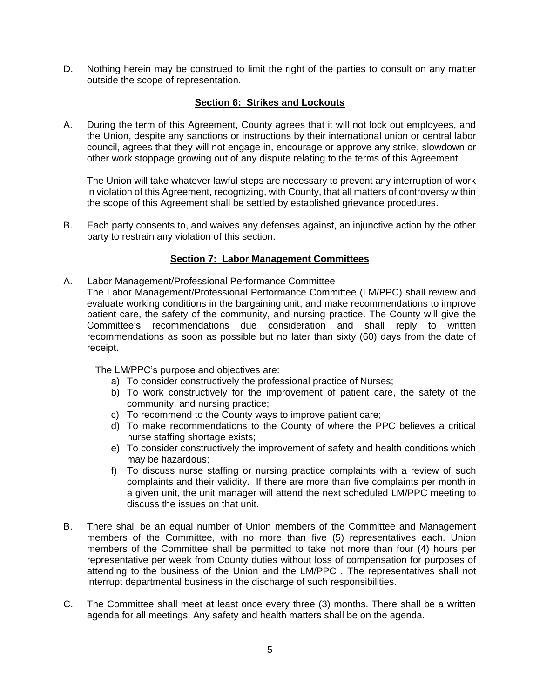D. Nothing herein may be construed to limit the right of the parties to consult on any matter outside the scope of representation.

## **Section 6: Strikes and Lockouts**

<span id="page-8-0"></span>A. During the term of this Agreement, County agrees that it will not lock out employees, and the Union, despite any sanctions or instructions by their international union or central labor council, agrees that they will not engage in, encourage or approve any strike, slowdown or other work stoppage growing out of any dispute relating to the terms of this Agreement.

The Union will take whatever lawful steps are necessary to prevent any interruption of work in violation of this Agreement, recognizing, with County, that all matters of controversy within the scope of this Agreement shall be settled by established grievance procedures.

B. Each party consents to, and waives any defenses against, an injunctive action by the other party to restrain any violation of this section.

## **Section 7: Labor Management Committees**

- <span id="page-8-1"></span>A. Labor Management/Professional Performance Committee
	- The Labor Management/Professional Performance Committee (LM/PPC) shall review and evaluate working conditions in the bargaining unit, and make recommendations to improve patient care, the safety of the community, and nursing practice. The County will give the Committee's recommendations due consideration and shall reply to written recommendations as soon as possible but no later than sixty (60) days from the date of receipt.

The LM/PPC's purpose and objectives are:

- a) To consider constructively the professional practice of Nurses;
- b) To work constructively for the improvement of patient care, the safety of the community, and nursing practice;
- c) To recommend to the County ways to improve patient care;
- d) To make recommendations to the County of where the PPC believes a critical nurse staffing shortage exists;
- e) To consider constructively the improvement of safety and health conditions which may be hazardous;
- f) To discuss nurse staffing or nursing practice complaints with a review of such complaints and their validity. If there are more than five complaints per month in a given unit, the unit manager will attend the next scheduled LM/PPC meeting to discuss the issues on that unit.
- B. There shall be an equal number of Union members of the Committee and Management members of the Committee, with no more than five (5) representatives each. Union members of the Committee shall be permitted to take not more than four (4) hours per representative per week from County duties without loss of compensation for purposes of attending to the business of the Union and the LM/PPC . The representatives shall not interrupt departmental business in the discharge of such responsibilities.
- C. The Committee shall meet at least once every three (3) months. There shall be a written agenda for all meetings. Any safety and health matters shall be on the agenda.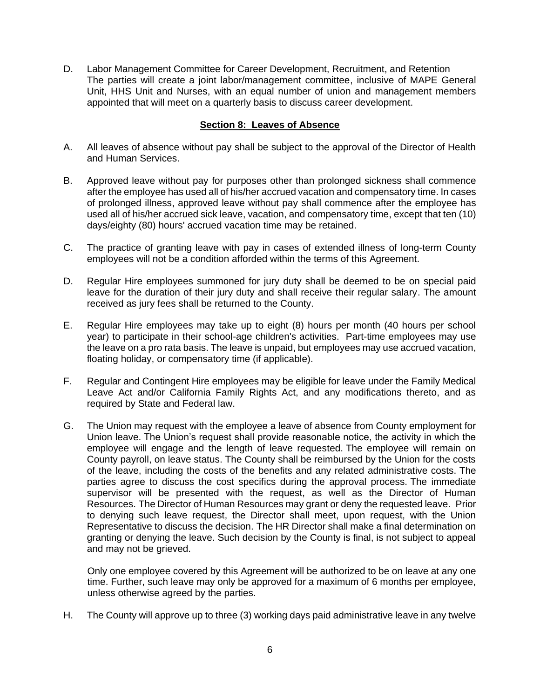D. Labor Management Committee for Career Development, Recruitment, and Retention The parties will create a joint labor/management committee, inclusive of MAPE General Unit, HHS Unit and Nurses, with an equal number of union and management members appointed that will meet on a quarterly basis to discuss career development.

## **Section 8: Leaves of Absence**

- <span id="page-9-0"></span>A. All leaves of absence without pay shall be subject to the approval of the Director of Health and Human Services.
- B. Approved leave without pay for purposes other than prolonged sickness shall commence after the employee has used all of his/her accrued vacation and compensatory time. In cases of prolonged illness, approved leave without pay shall commence after the employee has used all of his/her accrued sick leave, vacation, and compensatory time, except that ten (10) days/eighty (80) hours' accrued vacation time may be retained.
- C. The practice of granting leave with pay in cases of extended illness of long-term County employees will not be a condition afforded within the terms of this Agreement.
- D. Regular Hire employees summoned for jury duty shall be deemed to be on special paid leave for the duration of their jury duty and shall receive their regular salary. The amount received as jury fees shall be returned to the County.
- E. Regular Hire employees may take up to eight (8) hours per month (40 hours per school year) to participate in their school-age children's activities. Part-time employees may use the leave on a pro rata basis. The leave is unpaid, but employees may use accrued vacation, floating holiday, or compensatory time (if applicable).
- F. Regular and Contingent Hire employees may be eligible for leave under the Family Medical Leave Act and/or California Family Rights Act, and any modifications thereto, and as required by State and Federal law.
- G. The Union may request with the employee a leave of absence from County employment for Union leave. The Union's request shall provide reasonable notice, the activity in which the employee will engage and the length of leave requested. The employee will remain on County payroll, on leave status. The County shall be reimbursed by the Union for the costs of the leave, including the costs of the benefits and any related administrative costs. The parties agree to discuss the cost specifics during the approval process. The immediate supervisor will be presented with the request, as well as the Director of Human Resources. The Director of Human Resources may grant or deny the requested leave. Prior to denying such leave request, the Director shall meet, upon request, with the Union Representative to discuss the decision. The HR Director shall make a final determination on granting or denying the leave. Such decision by the County is final, is not subject to appeal and may not be grieved.

Only one employee covered by this Agreement will be authorized to be on leave at any one time. Further, such leave may only be approved for a maximum of 6 months per employee, unless otherwise agreed by the parties.

H. The County will approve up to three (3) working days paid administrative leave in any twelve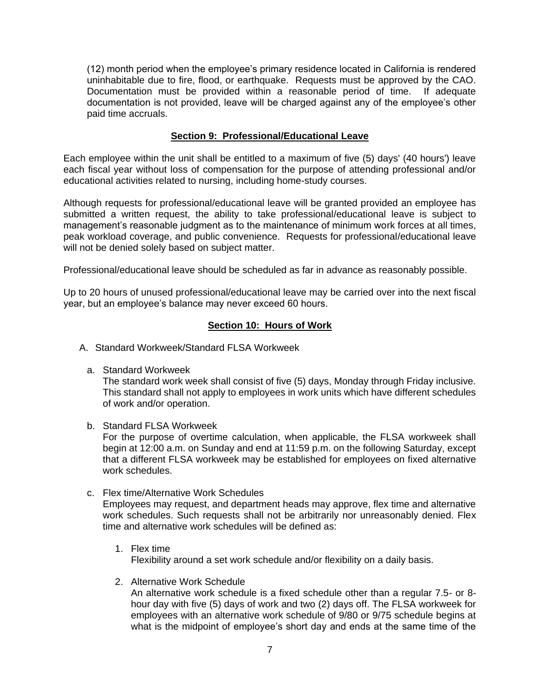(12) month period when the employee's primary residence located in California is rendered uninhabitable due to fire, flood, or earthquake. Requests must be approved by the CAO. Documentation must be provided within a reasonable period of time. If adequate documentation is not provided, leave will be charged against any of the employee's other paid time accruals.

## **Section 9: Professional/Educational Leave**

<span id="page-10-0"></span>Each employee within the unit shall be entitled to a maximum of five (5) days' (40 hours') leave each fiscal year without loss of compensation for the purpose of attending professional and/or educational activities related to nursing, including home-study courses.

Although requests for professional/educational leave will be granted provided an employee has submitted a written request, the ability to take professional/educational leave is subject to management's reasonable judgment as to the maintenance of minimum work forces at all times, peak workload coverage, and public convenience. Requests for professional/educational leave will not be denied solely based on subject matter.

Professional/educational leave should be scheduled as far in advance as reasonably possible.

Up to 20 hours of unused professional/educational leave may be carried over into the next fiscal year, but an employee's balance may never exceed 60 hours.

## **Section 10: Hours of Work**

- <span id="page-10-2"></span><span id="page-10-1"></span>A. Standard Workweek/Standard FLSA Workweek
	- a. Standard Workweek

The standard work week shall consist of five (5) days, Monday through Friday inclusive. This standard shall not apply to employees in work units which have different schedules of work and/or operation.

b. Standard FLSA Workweek

For the purpose of overtime calculation, when applicable, the FLSA workweek shall begin at 12:00 a.m. on Sunday and end at 11:59 p.m. on the following Saturday, except that a different FLSA workweek may be established for employees on fixed alternative work schedules.

- <span id="page-10-3"></span>c. Flex time/Alternative Work Schedules Employees may request, and department heads may approve, flex time and alternative work schedules. Such requests shall not be arbitrarily nor unreasonably denied. Flex time and alternative work schedules will be defined as:
	- 1. Flex time Flexibility around a set work schedule and/or flexibility on a daily basis.
	- 2. Alternative Work Schedule An alternative work schedule is a fixed schedule other than a regular 7.5- or 8 hour day with five (5) days of work and two (2) days off. The FLSA workweek for employees with an alternative work schedule of 9/80 or 9/75 schedule begins at what is the midpoint of employee's short day and ends at the same time of the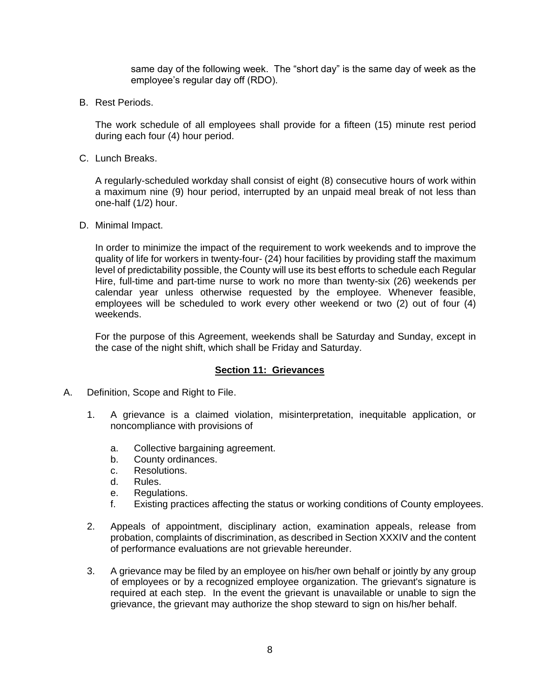same day of the following week. The "short day" is the same day of week as the employee's regular day off (RDO).

<span id="page-11-0"></span>B. Rest Periods.

The work schedule of all employees shall provide for a fifteen (15) minute rest period during each four (4) hour period.

<span id="page-11-1"></span>C. Lunch Breaks.

A regularly-scheduled workday shall consist of eight (8) consecutive hours of work within a maximum nine (9) hour period, interrupted by an unpaid meal break of not less than one-half (1/2) hour.

<span id="page-11-2"></span>D. Minimal Impact.

In order to minimize the impact of the requirement to work weekends and to improve the quality of life for workers in twenty-four- (24) hour facilities by providing staff the maximum level of predictability possible, the County will use its best efforts to schedule each Regular Hire, full-time and part-time nurse to work no more than twenty-six (26) weekends per calendar year unless otherwise requested by the employee. Whenever feasible, employees will be scheduled to work every other weekend or two (2) out of four (4) weekends.

For the purpose of this Agreement, weekends shall be Saturday and Sunday, except in the case of the night shift, which shall be Friday and Saturday.

## **Section 11: Grievances**

- <span id="page-11-4"></span><span id="page-11-3"></span>A. Definition, Scope and Right to File.
	- 1. A grievance is a claimed violation, misinterpretation, inequitable application, or noncompliance with provisions of
		- a. Collective bargaining agreement.
		- b. County ordinances.
		- c. Resolutions.
		- d. Rules.
		- e. Regulations.
		- f. Existing practices affecting the status or working conditions of County employees.
	- 2. Appeals of appointment, disciplinary action, examination appeals, release from probation, complaints of discrimination, as described in Section XXXIV and the content of performance evaluations are not grievable hereunder.
	- 3. A grievance may be filed by an employee on his/her own behalf or jointly by any group of employees or by a recognized employee organization. The grievant's signature is required at each step. In the event the grievant is unavailable or unable to sign the grievance, the grievant may authorize the shop steward to sign on his/her behalf.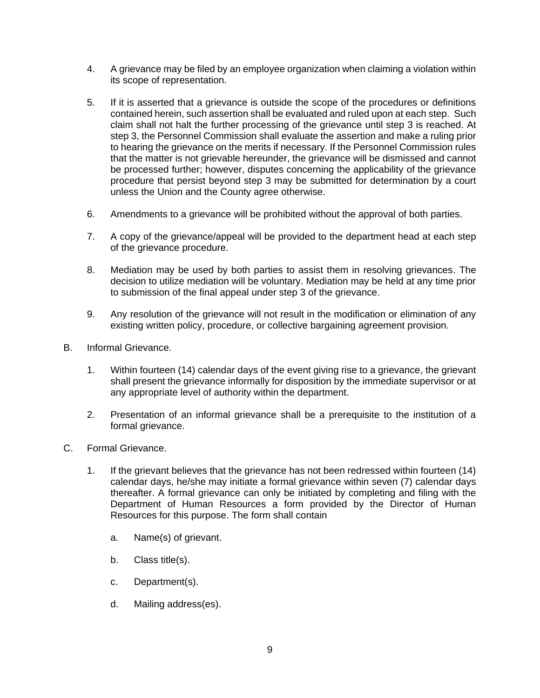- 4. A grievance may be filed by an employee organization when claiming a violation within its scope of representation.
- 5. If it is asserted that a grievance is outside the scope of the procedures or definitions contained herein, such assertion shall be evaluated and ruled upon at each step. Such claim shall not halt the further processing of the grievance until step 3 is reached. At step 3, the Personnel Commission shall evaluate the assertion and make a ruling prior to hearing the grievance on the merits if necessary. If the Personnel Commission rules that the matter is not grievable hereunder, the grievance will be dismissed and cannot be processed further; however, disputes concerning the applicability of the grievance procedure that persist beyond step 3 may be submitted for determination by a court unless the Union and the County agree otherwise.
- 6. Amendments to a grievance will be prohibited without the approval of both parties.
- 7. A copy of the grievance/appeal will be provided to the department head at each step of the grievance procedure.
- 8. Mediation may be used by both parties to assist them in resolving grievances. The decision to utilize mediation will be voluntary. Mediation may be held at any time prior to submission of the final appeal under step 3 of the grievance.
- 9. Any resolution of the grievance will not result in the modification or elimination of any existing written policy, procedure, or collective bargaining agreement provision.
- <span id="page-12-0"></span>B. Informal Grievance.
	- 1. Within fourteen (14) calendar days of the event giving rise to a grievance, the grievant shall present the grievance informally for disposition by the immediate supervisor or at any appropriate level of authority within the department.
	- 2. Presentation of an informal grievance shall be a prerequisite to the institution of a formal grievance.
- <span id="page-12-1"></span>C. Formal Grievance.
	- 1. If the grievant believes that the grievance has not been redressed within fourteen (14) calendar days, he/she may initiate a formal grievance within seven (7) calendar days thereafter. A formal grievance can only be initiated by completing and filing with the Department of Human Resources a form provided by the Director of Human Resources for this purpose. The form shall contain
		- a. Name(s) of grievant.
		- b. Class title(s).
		- c. Department(s).
		- d. Mailing address(es).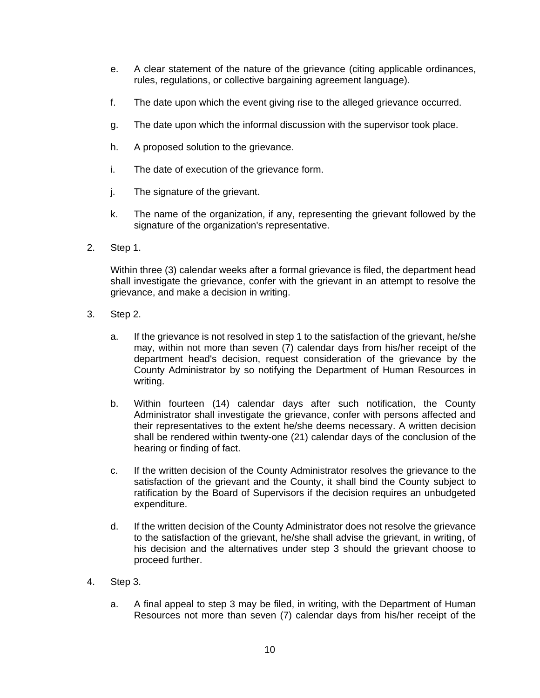- e. A clear statement of the nature of the grievance (citing applicable ordinances, rules, regulations, or collective bargaining agreement language).
- f. The date upon which the event giving rise to the alleged grievance occurred.
- g. The date upon which the informal discussion with the supervisor took place.
- h. A proposed solution to the grievance.
- i. The date of execution of the grievance form.
- j. The signature of the grievant.
- k. The name of the organization, if any, representing the grievant followed by the signature of the organization's representative.
- 2. Step 1.

Within three (3) calendar weeks after a formal grievance is filed, the department head shall investigate the grievance, confer with the grievant in an attempt to resolve the grievance, and make a decision in writing.

- 3. Step 2.
	- a. If the grievance is not resolved in step 1 to the satisfaction of the grievant, he/she may, within not more than seven (7) calendar days from his/her receipt of the department head's decision, request consideration of the grievance by the County Administrator by so notifying the Department of Human Resources in writing.
	- b. Within fourteen (14) calendar days after such notification, the County Administrator shall investigate the grievance, confer with persons affected and their representatives to the extent he/she deems necessary. A written decision shall be rendered within twenty-one (21) calendar days of the conclusion of the hearing or finding of fact.
	- c. If the written decision of the County Administrator resolves the grievance to the satisfaction of the grievant and the County, it shall bind the County subject to ratification by the Board of Supervisors if the decision requires an unbudgeted expenditure.
	- d. If the written decision of the County Administrator does not resolve the grievance to the satisfaction of the grievant, he/she shall advise the grievant, in writing, of his decision and the alternatives under step 3 should the grievant choose to proceed further.
- 4. Step 3.
	- a. A final appeal to step 3 may be filed, in writing, with the Department of Human Resources not more than seven (7) calendar days from his/her receipt of the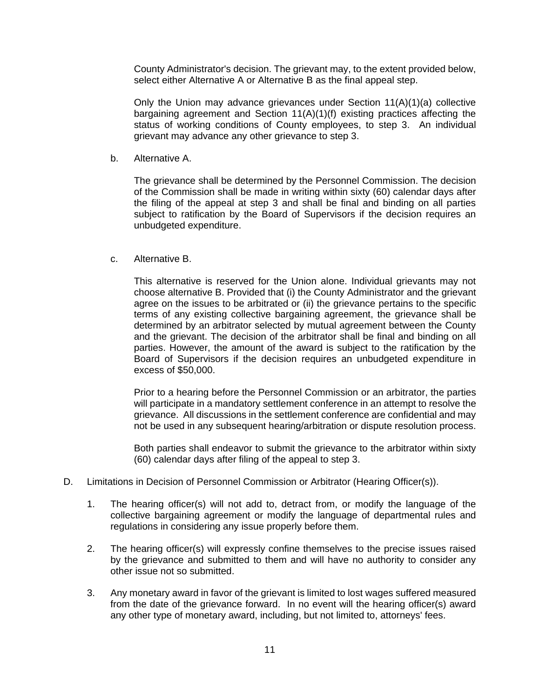County Administrator's decision. The grievant may, to the extent provided below, select either Alternative A or Alternative B as the final appeal step.

Only the Union may advance grievances under Section 11(A)(1)(a) collective bargaining agreement and Section 11(A)(1)(f) existing practices affecting the status of working conditions of County employees, to step 3. An individual grievant may advance any other grievance to step 3.

b. Alternative A.

The grievance shall be determined by the Personnel Commission. The decision of the Commission shall be made in writing within sixty (60) calendar days after the filing of the appeal at step 3 and shall be final and binding on all parties subject to ratification by the Board of Supervisors if the decision requires an unbudgeted expenditure.

c. Alternative B.

This alternative is reserved for the Union alone. Individual grievants may not choose alternative B. Provided that (i) the County Administrator and the grievant agree on the issues to be arbitrated or (ii) the grievance pertains to the specific terms of any existing collective bargaining agreement, the grievance shall be determined by an arbitrator selected by mutual agreement between the County and the grievant. The decision of the arbitrator shall be final and binding on all parties. However, the amount of the award is subject to the ratification by the Board of Supervisors if the decision requires an unbudgeted expenditure in excess of \$50,000.

Prior to a hearing before the Personnel Commission or an arbitrator, the parties will participate in a mandatory settlement conference in an attempt to resolve the grievance. All discussions in the settlement conference are confidential and may not be used in any subsequent hearing/arbitration or dispute resolution process.

Both parties shall endeavor to submit the grievance to the arbitrator within sixty (60) calendar days after filing of the appeal to step 3.

- <span id="page-14-0"></span>D. Limitations in Decision of Personnel Commission or Arbitrator (Hearing Officer(s)).
	- 1. The hearing officer(s) will not add to, detract from, or modify the language of the collective bargaining agreement or modify the language of departmental rules and regulations in considering any issue properly before them.
	- 2. The hearing officer(s) will expressly confine themselves to the precise issues raised by the grievance and submitted to them and will have no authority to consider any other issue not so submitted.
	- 3. Any monetary award in favor of the grievant is limited to lost wages suffered measured from the date of the grievance forward. In no event will the hearing officer(s) award any other type of monetary award, including, but not limited to, attorneys' fees.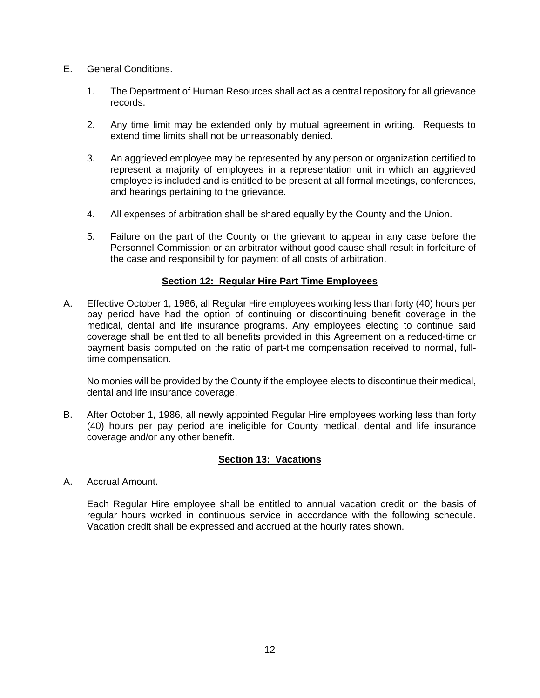- <span id="page-15-0"></span>E. General Conditions.
	- 1. The Department of Human Resources shall act as a central repository for all grievance records.
	- 2. Any time limit may be extended only by mutual agreement in writing. Requests to extend time limits shall not be unreasonably denied.
	- 3. An aggrieved employee may be represented by any person or organization certified to represent a majority of employees in a representation unit in which an aggrieved employee is included and is entitled to be present at all formal meetings, conferences, and hearings pertaining to the grievance.
	- 4. All expenses of arbitration shall be shared equally by the County and the Union.
	- 5. Failure on the part of the County or the grievant to appear in any case before the Personnel Commission or an arbitrator without good cause shall result in forfeiture of the case and responsibility for payment of all costs of arbitration.

### **Section 12: Regular Hire Part Time Employees**

<span id="page-15-1"></span>A. Effective October 1, 1986, all Regular Hire employees working less than forty (40) hours per pay period have had the option of continuing or discontinuing benefit coverage in the medical, dental and life insurance programs. Any employees electing to continue said coverage shall be entitled to all benefits provided in this Agreement on a reduced-time or payment basis computed on the ratio of part-time compensation received to normal, fulltime compensation.

No monies will be provided by the County if the employee elects to discontinue their medical, dental and life insurance coverage.

B. After October 1, 1986, all newly appointed Regular Hire employees working less than forty (40) hours per pay period are ineligible for County medical, dental and life insurance coverage and/or any other benefit.

#### **Section 13: Vacations**

<span id="page-15-3"></span><span id="page-15-2"></span>A. Accrual Amount.

Each Regular Hire employee shall be entitled to annual vacation credit on the basis of regular hours worked in continuous service in accordance with the following schedule. Vacation credit shall be expressed and accrued at the hourly rates shown.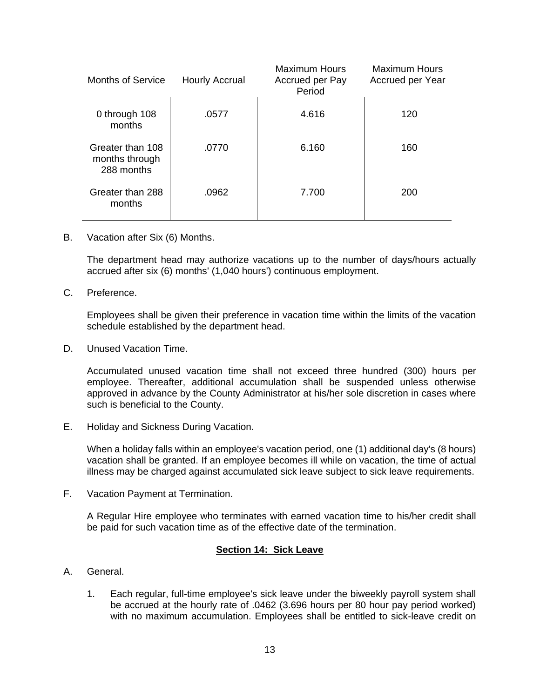| <b>Months of Service</b>                         | Hourly Accrual | <b>Maximum Hours</b><br>Accrued per Pay<br>Period | Maximum Hours<br>Accrued per Year |
|--------------------------------------------------|----------------|---------------------------------------------------|-----------------------------------|
| 0 through 108<br>months                          | .0577          | 4.616                                             | 120                               |
| Greater than 108<br>months through<br>288 months | .0770          | 6.160                                             | 160                               |
| Greater than 288<br>months                       | .0962          | 7.700                                             | 200                               |

<span id="page-16-0"></span>B. Vacation after Six (6) Months.

The department head may authorize vacations up to the number of days/hours actually accrued after six (6) months' (1,040 hours') continuous employment.

<span id="page-16-1"></span>C. Preference.

Employees shall be given their preference in vacation time within the limits of the vacation schedule established by the department head.

<span id="page-16-2"></span>D. Unused Vacation Time.

Accumulated unused vacation time shall not exceed three hundred (300) hours per employee. Thereafter, additional accumulation shall be suspended unless otherwise approved in advance by the County Administrator at his/her sole discretion in cases where such is beneficial to the County.

<span id="page-16-3"></span>E. Holiday and Sickness During Vacation.

When a holiday falls within an employee's vacation period, one (1) additional day's (8 hours) vacation shall be granted. If an employee becomes ill while on vacation, the time of actual illness may be charged against accumulated sick leave subject to sick leave requirements.

<span id="page-16-4"></span>F. Vacation Payment at Termination.

A Regular Hire employee who terminates with earned vacation time to his/her credit shall be paid for such vacation time as of the effective date of the termination.

#### **Section 14: Sick Leave**

- <span id="page-16-6"></span><span id="page-16-5"></span>A. General.
	- 1. Each regular, full-time employee's sick leave under the biweekly payroll system shall be accrued at the hourly rate of .0462 (3.696 hours per 80 hour pay period worked) with no maximum accumulation. Employees shall be entitled to sick-leave credit on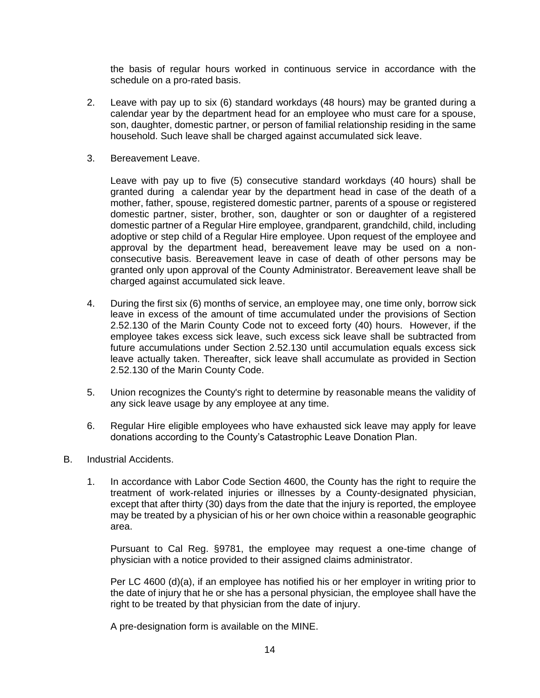the basis of regular hours worked in continuous service in accordance with the schedule on a pro-rated basis.

- 2. Leave with pay up to six (6) standard workdays (48 hours) may be granted during a calendar year by the department head for an employee who must care for a spouse, son, daughter, domestic partner, or person of familial relationship residing in the same household. Such leave shall be charged against accumulated sick leave.
- 3. Bereavement Leave.

Leave with pay up to five (5) consecutive standard workdays (40 hours) shall be granted during a calendar year by the department head in case of the death of a mother, father, spouse, registered domestic partner, parents of a spouse or registered domestic partner, sister, brother, son, daughter or son or daughter of a registered domestic partner of a Regular Hire employee, grandparent, grandchild, child, including adoptive or step child of a Regular Hire employee. Upon request of the employee and approval by the department head, bereavement leave may be used on a nonconsecutive basis. Bereavement leave in case of death of other persons may be granted only upon approval of the County Administrator. Bereavement leave shall be charged against accumulated sick leave.

- 4. During the first six (6) months of service, an employee may, one time only, borrow sick leave in excess of the amount of time accumulated under the provisions of Section 2.52.130 of the Marin County Code not to exceed forty (40) hours. However, if the employee takes excess sick leave, such excess sick leave shall be subtracted from future accumulations under Section 2.52.130 until accumulation equals excess sick leave actually taken. Thereafter, sick leave shall accumulate as provided in Section 2.52.130 of the Marin County Code.
- 5. Union recognizes the County's right to determine by reasonable means the validity of any sick leave usage by any employee at any time.
- 6. Regular Hire eligible employees who have exhausted sick leave may apply for leave donations according to the County's Catastrophic Leave Donation Plan.
- <span id="page-17-0"></span>B. Industrial Accidents.
	- 1. In accordance with Labor Code Section 4600, the County has the right to require the treatment of work-related injuries or illnesses by a County-designated physician, except that after thirty (30) days from the date that the injury is reported, the employee may be treated by a physician of his or her own choice within a reasonable geographic area.

Pursuant to Cal Reg. §9781, the employee may request a one-time change of physician with a notice provided to their assigned claims administrator.

Per LC 4600 (d)(a), if an employee has notified his or her employer in writing prior to the date of injury that he or she has a personal physician, the employee shall have the right to be treated by that physician from the date of injury.

A pre-designation form is available on the MINE.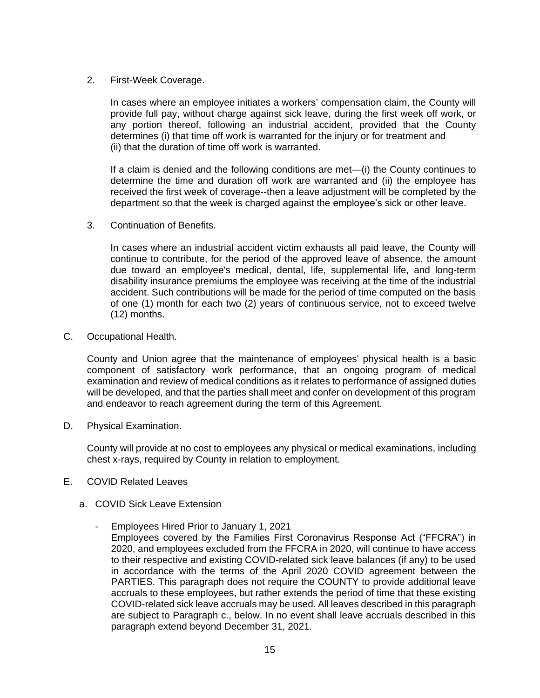## 2. First-Week Coverage.

In cases where an employee initiates a workers' compensation claim, the County will provide full pay, without charge against sick leave, during the first week off work, or any portion thereof, following an industrial accident, provided that the County determines (i) that time off work is warranted for the injury or for treatment and (ii) that the duration of time off work is warranted.

If a claim is denied and the following conditions are met—(i) the County continues to determine the time and duration off work are warranted and (ii) the employee has received the first week of coverage--then a leave adjustment will be completed by the department so that the week is charged against the employee's sick or other leave.

3. Continuation of Benefits.

In cases where an industrial accident victim exhausts all paid leave, the County will continue to contribute, for the period of the approved leave of absence, the amount due toward an employee's medical, dental, life, supplemental life, and long-term disability insurance premiums the employee was receiving at the time of the industrial accident. Such contributions will be made for the period of time computed on the basis of one (1) month for each two (2) years of continuous service, not to exceed twelve (12) months.

<span id="page-18-0"></span>C. Occupational Health.

County and Union agree that the maintenance of employees' physical health is a basic component of satisfactory work performance, that an ongoing program of medical examination and review of medical conditions as it relates to performance of assigned duties will be developed, and that the parties shall meet and confer on development of this program and endeavor to reach agreement during the term of this Agreement.

<span id="page-18-1"></span>D. Physical Examination.

County will provide at no cost to employees any physical or medical examinations, including chest x-rays, required by County in relation to employment.

- <span id="page-18-2"></span>E. COVID Related Leaves
	- a. COVID Sick Leave Extension
		- Employees Hired Prior to January 1, 2021
			- Employees covered by the Families First Coronavirus Response Act ("FFCRA") in 2020, and employees excluded from the FFCRA in 2020, will continue to have access to their respective and existing COVID-related sick leave balances (if any) to be used in accordance with the terms of the April 2020 COVID agreement between the PARTIES. This paragraph does not require the COUNTY to provide additional leave accruals to these employees, but rather extends the period of time that these existing COVID-related sick leave accruals may be used. All leaves described in this paragraph are subject to Paragraph c., below. In no event shall leave accruals described in this paragraph extend beyond December 31, 2021.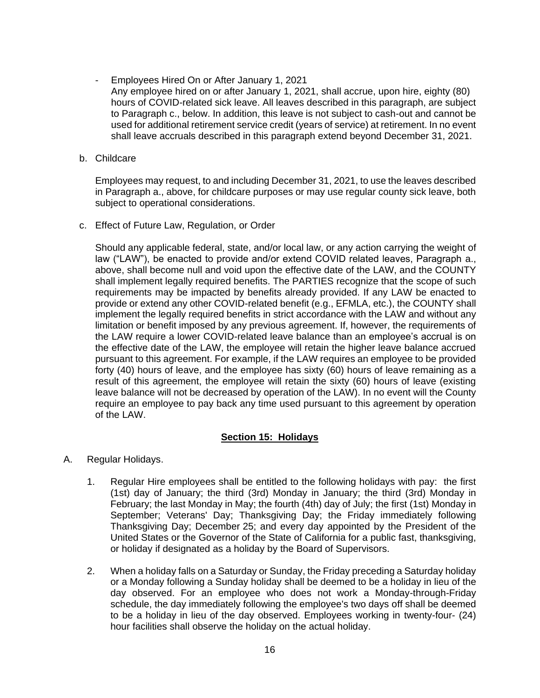- Employees Hired On or After January 1, 2021
	- Any employee hired on or after January 1, 2021, shall accrue, upon hire, eighty (80) hours of COVID-related sick leave. All leaves described in this paragraph, are subject to Paragraph c., below. In addition, this leave is not subject to cash-out and cannot be used for additional retirement service credit (years of service) at retirement. In no event shall leave accruals described in this paragraph extend beyond December 31, 2021.
- b. Childcare

Employees may request, to and including December 31, 2021, to use the leaves described in Paragraph a., above, for childcare purposes or may use regular county sick leave, both subject to operational considerations.

c. Effect of Future Law, Regulation, or Order

Should any applicable federal, state, and/or local law, or any action carrying the weight of law ("LAW"), be enacted to provide and/or extend COVID related leaves, Paragraph a., above, shall become null and void upon the effective date of the LAW, and the COUNTY shall implement legally required benefits. The PARTIES recognize that the scope of such requirements may be impacted by benefits already provided. If any LAW be enacted to provide or extend any other COVID-related benefit (e.g., EFMLA, etc.), the COUNTY shall implement the legally required benefits in strict accordance with the LAW and without any limitation or benefit imposed by any previous agreement. If, however, the requirements of the LAW require a lower COVID-related leave balance than an employee's accrual is on the effective date of the LAW, the employee will retain the higher leave balance accrued pursuant to this agreement. For example, if the LAW requires an employee to be provided forty (40) hours of leave, and the employee has sixty (60) hours of leave remaining as a result of this agreement, the employee will retain the sixty (60) hours of leave (existing leave balance will not be decreased by operation of the LAW). In no event will the County require an employee to pay back any time used pursuant to this agreement by operation of the LAW.

## **Section 15: Holidays**

- <span id="page-19-1"></span><span id="page-19-0"></span>A. Regular Holidays.
	- 1. Regular Hire employees shall be entitled to the following holidays with pay: the first (1st) day of January; the third (3rd) Monday in January; the third (3rd) Monday in February; the last Monday in May; the fourth (4th) day of July; the first (1st) Monday in September; Veterans' Day; Thanksgiving Day; the Friday immediately following Thanksgiving Day; December 25; and every day appointed by the President of the United States or the Governor of the State of California for a public fast, thanksgiving, or holiday if designated as a holiday by the Board of Supervisors.
	- 2. When a holiday falls on a Saturday or Sunday, the Friday preceding a Saturday holiday or a Monday following a Sunday holiday shall be deemed to be a holiday in lieu of the day observed. For an employee who does not work a Monday-through-Friday schedule, the day immediately following the employee's two days off shall be deemed to be a holiday in lieu of the day observed. Employees working in twenty-four- (24) hour facilities shall observe the holiday on the actual holiday.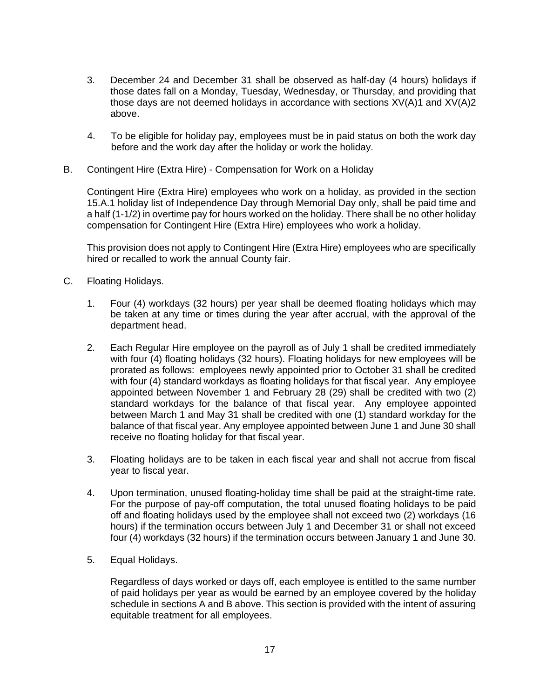- 3. December 24 and December 31 shall be observed as half-day (4 hours) holidays if those dates fall on a Monday, Tuesday, Wednesday, or Thursday, and providing that those days are not deemed holidays in accordance with sections XV(A)1 and XV(A)2 above.
- 4. To be eligible for holiday pay, employees must be in paid status on both the work day before and the work day after the holiday or work the holiday.
- <span id="page-20-0"></span>B. Contingent Hire (Extra Hire) - Compensation for Work on a Holiday

Contingent Hire (Extra Hire) employees who work on a holiday, as provided in the section 15.A.1 holiday list of Independence Day through Memorial Day only, shall be paid time and a half (1-1/2) in overtime pay for hours worked on the holiday. There shall be no other holiday compensation for Contingent Hire (Extra Hire) employees who work a holiday.

This provision does not apply to Contingent Hire (Extra Hire) employees who are specifically hired or recalled to work the annual County fair.

- <span id="page-20-1"></span>C. Floating Holidays.
	- 1. Four (4) workdays (32 hours) per year shall be deemed floating holidays which may be taken at any time or times during the year after accrual, with the approval of the department head.
	- 2. Each Regular Hire employee on the payroll as of July 1 shall be credited immediately with four (4) floating holidays (32 hours). Floating holidays for new employees will be prorated as follows: employees newly appointed prior to October 31 shall be credited with four (4) standard workdays as floating holidays for that fiscal year. Any employee appointed between November 1 and February 28 (29) shall be credited with two (2) standard workdays for the balance of that fiscal year. Any employee appointed between March 1 and May 31 shall be credited with one (1) standard workday for the balance of that fiscal year. Any employee appointed between June 1 and June 30 shall receive no floating holiday for that fiscal year.
	- 3. Floating holidays are to be taken in each fiscal year and shall not accrue from fiscal year to fiscal year.
	- 4. Upon termination, unused floating-holiday time shall be paid at the straight-time rate. For the purpose of pay-off computation, the total unused floating holidays to be paid off and floating holidays used by the employee shall not exceed two (2) workdays (16 hours) if the termination occurs between July 1 and December 31 or shall not exceed four (4) workdays (32 hours) if the termination occurs between January 1 and June 30.
	- 5. Equal Holidays.

Regardless of days worked or days off, each employee is entitled to the same number of paid holidays per year as would be earned by an employee covered by the holiday schedule in sections A and B above. This section is provided with the intent of assuring equitable treatment for all employees.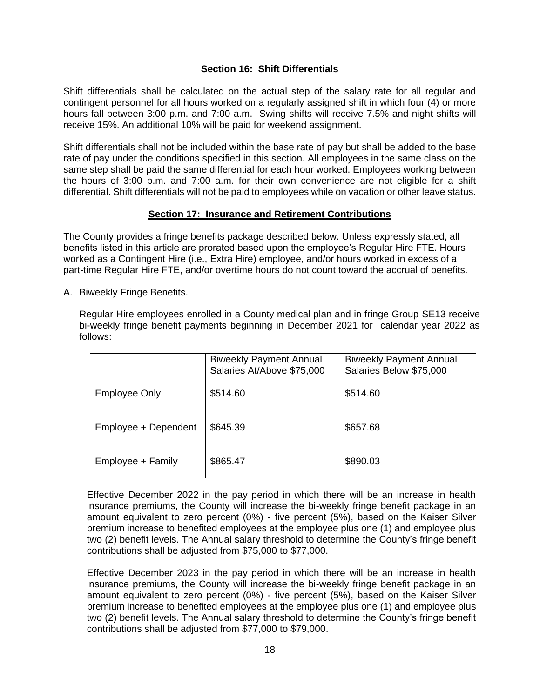## **Section 16: Shift Differentials**

<span id="page-21-0"></span>Shift differentials shall be calculated on the actual step of the salary rate for all regular and contingent personnel for all hours worked on a regularly assigned shift in which four (4) or more hours fall between 3:00 p.m. and 7:00 a.m. Swing shifts will receive 7.5% and night shifts will receive 15%. An additional 10% will be paid for weekend assignment.

Shift differentials shall not be included within the base rate of pay but shall be added to the base rate of pay under the conditions specified in this section. All employees in the same class on the same step shall be paid the same differential for each hour worked. Employees working between the hours of 3:00 p.m. and 7:00 a.m. for their own convenience are not eligible for a shift differential. Shift differentials will not be paid to employees while on vacation or other leave status.

### **Section 17: Insurance and Retirement Contributions**

<span id="page-21-1"></span>The County provides a fringe benefits package described below. Unless expressly stated, all benefits listed in this article are prorated based upon the employee's Regular Hire FTE. Hours worked as a Contingent Hire (i.e., Extra Hire) employee, and/or hours worked in excess of a part-time Regular Hire FTE, and/or overtime hours do not count toward the accrual of benefits.

<span id="page-21-2"></span>A. Biweekly Fringe Benefits.

Regular Hire employees enrolled in a County medical plan and in fringe Group SE13 receive bi-weekly fringe benefit payments beginning in December 2021 for calendar year 2022 as follows:

|                      | <b>Biweekly Payment Annual</b><br>Salaries At/Above \$75,000 | <b>Biweekly Payment Annual</b><br>Salaries Below \$75,000 |
|----------------------|--------------------------------------------------------------|-----------------------------------------------------------|
| Employee Only        | \$514.60                                                     | \$514.60                                                  |
| Employee + Dependent | \$645.39                                                     | \$657.68                                                  |
| Employee + Family    | \$865.47                                                     | \$890.03                                                  |

Effective December 2022 in the pay period in which there will be an increase in health insurance premiums, the County will increase the bi-weekly fringe benefit package in an amount equivalent to zero percent (0%) - five percent (5%), based on the Kaiser Silver premium increase to benefited employees at the employee plus one (1) and employee plus two (2) benefit levels. The Annual salary threshold to determine the County's fringe benefit contributions shall be adjusted from \$75,000 to \$77,000.

Effective December 2023 in the pay period in which there will be an increase in health insurance premiums, the County will increase the bi-weekly fringe benefit package in an amount equivalent to zero percent (0%) - five percent (5%), based on the Kaiser Silver premium increase to benefited employees at the employee plus one (1) and employee plus two (2) benefit levels. The Annual salary threshold to determine the County's fringe benefit contributions shall be adjusted from \$77,000 to \$79,000.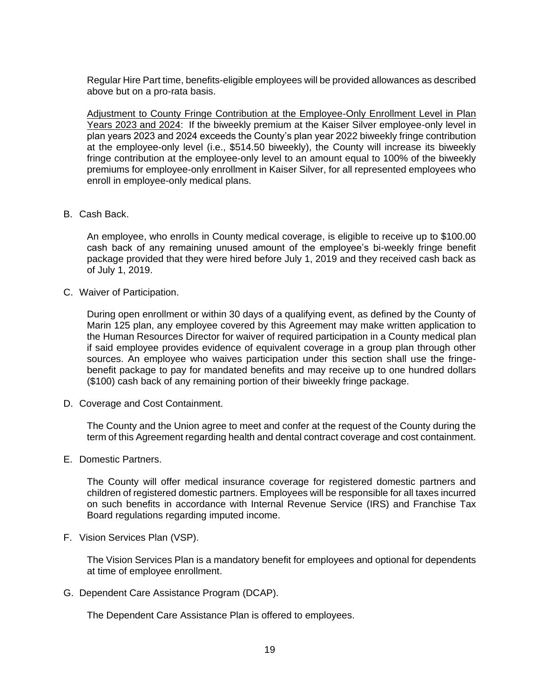Regular Hire Part time, benefits-eligible employees will be provided allowances as described above but on a pro-rata basis.

Adjustment to County Fringe Contribution at the Employee-Only Enrollment Level in Plan Years 2023 and 2024: If the biweekly premium at the Kaiser Silver employee-only level in plan years 2023 and 2024 exceeds the County's plan year 2022 biweekly fringe contribution at the employee-only level (i.e., \$514.50 biweekly), the County will increase its biweekly fringe contribution at the employee-only level to an amount equal to 100% of the biweekly premiums for employee-only enrollment in Kaiser Silver, for all represented employees who enroll in employee-only medical plans.

<span id="page-22-0"></span>B. Cash Back.

An employee, who enrolls in County medical coverage, is eligible to receive up to \$100.00 cash back of any remaining unused amount of the employee's bi-weekly fringe benefit package provided that they were hired before July 1, 2019 and they received cash back as of July 1, 2019.

<span id="page-22-1"></span>C. Waiver of Participation.

During open enrollment or within 30 days of a qualifying event, as defined by the County of Marin 125 plan, any employee covered by this Agreement may make written application to the Human Resources Director for waiver of required participation in a County medical plan if said employee provides evidence of equivalent coverage in a group plan through other sources. An employee who waives participation under this section shall use the fringebenefit package to pay for mandated benefits and may receive up to one hundred dollars (\$100) cash back of any remaining portion of their biweekly fringe package.

<span id="page-22-2"></span>D. Coverage and Cost Containment.

The County and the Union agree to meet and confer at the request of the County during the term of this Agreement regarding health and dental contract coverage and cost containment.

<span id="page-22-3"></span>E. Domestic Partners.

The County will offer medical insurance coverage for registered domestic partners and children of registered domestic partners. Employees will be responsible for all taxes incurred on such benefits in accordance with Internal Revenue Service (IRS) and Franchise Tax Board regulations regarding imputed income.

<span id="page-22-4"></span>F. Vision Services Plan (VSP).

The Vision Services Plan is a mandatory benefit for employees and optional for dependents at time of employee enrollment.

<span id="page-22-5"></span>G. Dependent Care Assistance Program (DCAP).

The Dependent Care Assistance Plan is offered to employees.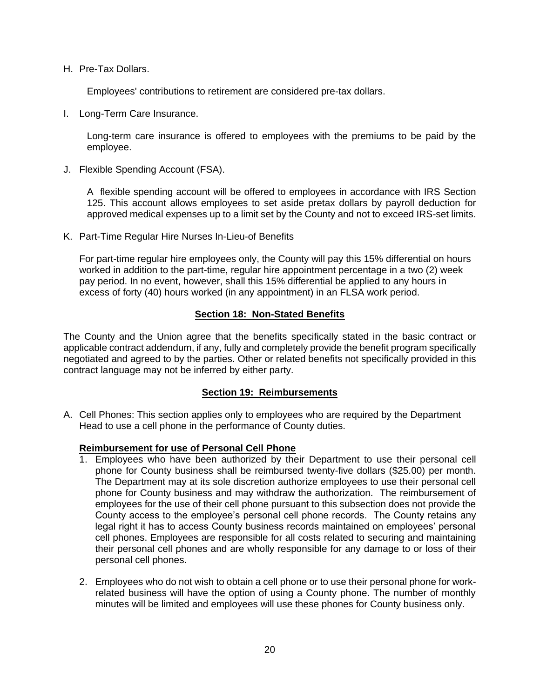<span id="page-23-0"></span>H. Pre-Tax Dollars.

Employees' contributions to retirement are considered pre-tax dollars.

<span id="page-23-1"></span>I. Long-Term Care Insurance.

Long-term care insurance is offered to employees with the premiums to be paid by the employee.

<span id="page-23-2"></span>J. Flexible Spending Account (FSA).

A flexible spending account will be offered to employees in accordance with IRS Section 125. This account allows employees to set aside pretax dollars by payroll deduction for approved medical expenses up to a limit set by the County and not to exceed IRS-set limits.

K. Part-Time Regular Hire Nurses In-Lieu-of Benefits

For part-time regular hire employees only, the County will pay this 15% differential on hours worked in addition to the part-time, regular hire appointment percentage in a two (2) week pay period. In no event, however, shall this 15% differential be applied to any hours in excess of forty (40) hours worked (in any appointment) in an FLSA work period.

### **Section 18: Non-Stated Benefits**

<span id="page-23-3"></span>The County and the Union agree that the benefits specifically stated in the basic contract or applicable contract addendum, if any, fully and completely provide the benefit program specifically negotiated and agreed to by the parties. Other or related benefits not specifically provided in this contract language may not be inferred by either party.

## **Section 19: Reimbursements**

<span id="page-23-5"></span><span id="page-23-4"></span>A. Cell Phones: This section applies only to employees who are required by the Department Head to use a cell phone in the performance of County duties.

#### **Reimbursement for use of Personal Cell Phone**

- 1. Employees who have been authorized by their Department to use their personal cell phone for County business shall be reimbursed twenty-five dollars (\$25.00) per month. The Department may at its sole discretion authorize employees to use their personal cell phone for County business and may withdraw the authorization. The reimbursement of employees for the use of their cell phone pursuant to this subsection does not provide the County access to the employee's personal cell phone records. The County retains any legal right it has to access County business records maintained on employees' personal cell phones. Employees are responsible for all costs related to securing and maintaining their personal cell phones and are wholly responsible for any damage to or loss of their personal cell phones.
- 2. Employees who do not wish to obtain a cell phone or to use their personal phone for workrelated business will have the option of using a County phone. The number of monthly minutes will be limited and employees will use these phones for County business only.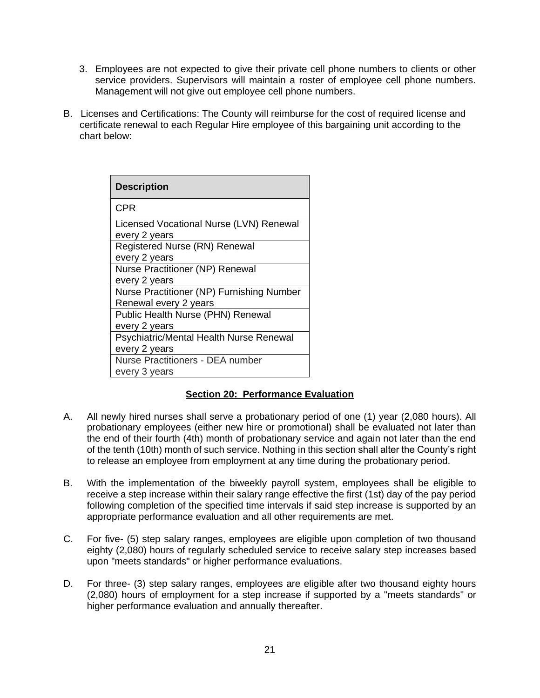- 3. Employees are not expected to give their private cell phone numbers to clients or other service providers. Supervisors will maintain a roster of employee cell phone numbers. Management will not give out employee cell phone numbers.
- <span id="page-24-0"></span>B. Licenses and Certifications: The County will reimburse for the cost of required license and certificate renewal to each Regular Hire employee of this bargaining unit according to the chart below:

| <b>Description</b>                                                 |
|--------------------------------------------------------------------|
| CPR                                                                |
| Licensed Vocational Nurse (LVN) Renewal<br>every 2 years           |
| Registered Nurse (RN) Renewal<br>every 2 years                     |
| Nurse Practitioner (NP) Renewal<br>every 2 years                   |
| Nurse Practitioner (NP) Furnishing Number<br>Renewal every 2 years |
| Public Health Nurse (PHN) Renewal<br>every 2 years                 |
| Psychiatric/Mental Health Nurse Renewal<br>every 2 years           |
| <b>Nurse Practitioners - DEA number</b><br>every 3 years           |

## **Section 20: Performance Evaluation**

- <span id="page-24-1"></span>A. All newly hired nurses shall serve a probationary period of one (1) year (2,080 hours). All probationary employees (either new hire or promotional) shall be evaluated not later than the end of their fourth (4th) month of probationary service and again not later than the end of the tenth (10th) month of such service. Nothing in this section shall alter the County's right to release an employee from employment at any time during the probationary period.
- B. With the implementation of the biweekly payroll system, employees shall be eligible to receive a step increase within their salary range effective the first (1st) day of the pay period following completion of the specified time intervals if said step increase is supported by an appropriate performance evaluation and all other requirements are met.
- C. For five- (5) step salary ranges, employees are eligible upon completion of two thousand eighty (2,080) hours of regularly scheduled service to receive salary step increases based upon "meets standards" or higher performance evaluations.
- D. For three- (3) step salary ranges, employees are eligible after two thousand eighty hours (2,080) hours of employment for a step increase if supported by a "meets standards" or higher performance evaluation and annually thereafter.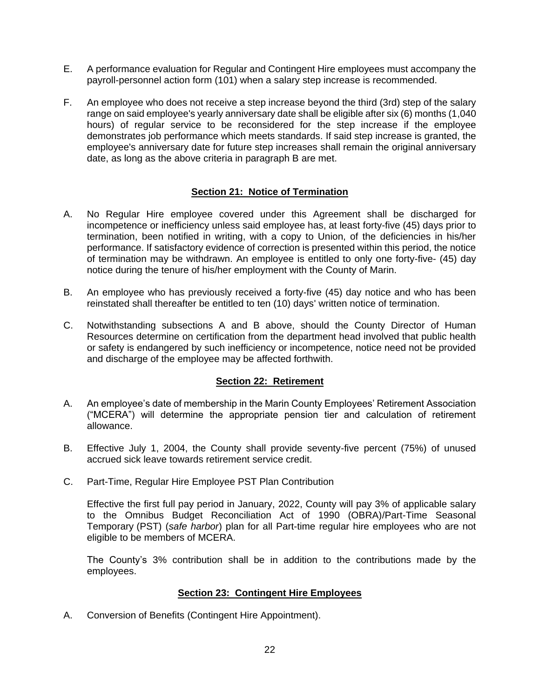- E. A performance evaluation for Regular and Contingent Hire employees must accompany the payroll-personnel action form (101) when a salary step increase is recommended.
- F. An employee who does not receive a step increase beyond the third (3rd) step of the salary range on said employee's yearly anniversary date shall be eligible after six (6) months (1,040 hours) of regular service to be reconsidered for the step increase if the employee demonstrates job performance which meets standards. If said step increase is granted, the employee's anniversary date for future step increases shall remain the original anniversary date, as long as the above criteria in paragraph B are met.

## **Section 21: Notice of Termination**

- <span id="page-25-0"></span>A. No Regular Hire employee covered under this Agreement shall be discharged for incompetence or inefficiency unless said employee has, at least forty-five (45) days prior to termination, been notified in writing, with a copy to Union, of the deficiencies in his/her performance. If satisfactory evidence of correction is presented within this period, the notice of termination may be withdrawn. An employee is entitled to only one forty-five- (45) day notice during the tenure of his/her employment with the County of Marin.
- B. An employee who has previously received a forty-five (45) day notice and who has been reinstated shall thereafter be entitled to ten (10) days' written notice of termination.
- C. Notwithstanding subsections A and B above, should the County Director of Human Resources determine on certification from the department head involved that public health or safety is endangered by such inefficiency or incompetence, notice need not be provided and discharge of the employee may be affected forthwith.

## **Section 22: Retirement**

- <span id="page-25-1"></span>A. An employee's date of membership in the Marin County Employees' Retirement Association ("MCERA") will determine the appropriate pension tier and calculation of retirement allowance.
- B. Effective July 1, 2004, the County shall provide seventy-five percent (75%) of unused accrued sick leave towards retirement service credit.
- C. Part-Time, Regular Hire Employee PST Plan Contribution

Effective the first full pay period in January, 2022, County will pay 3% of applicable salary to the Omnibus Budget Reconciliation Act of 1990 (OBRA)/Part-Time Seasonal Temporary (PST) (*safe harbor*) plan for all Part-time regular hire employees who are not eligible to be members of MCERA.

The County's 3% contribution shall be in addition to the contributions made by the employees.

#### **Section 23: Contingent Hire Employees**

<span id="page-25-3"></span><span id="page-25-2"></span>A. Conversion of Benefits (Contingent Hire Appointment).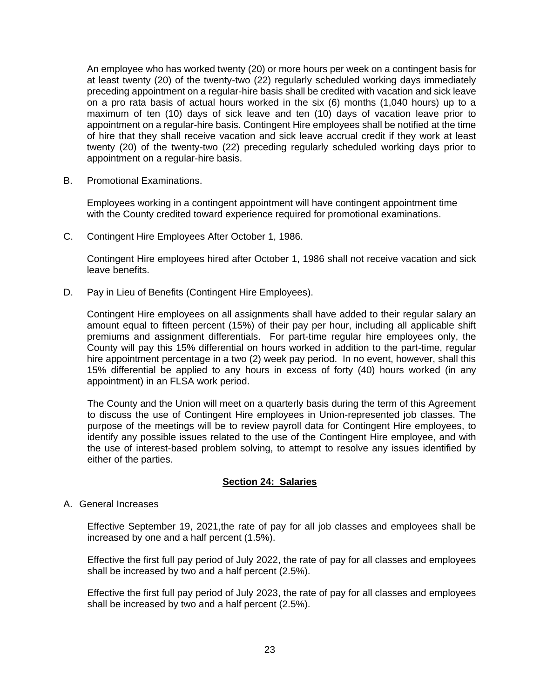An employee who has worked twenty (20) or more hours per week on a contingent basis for at least twenty (20) of the twenty-two (22) regularly scheduled working days immediately preceding appointment on a regular-hire basis shall be credited with vacation and sick leave on a pro rata basis of actual hours worked in the six (6) months (1,040 hours) up to a maximum of ten (10) days of sick leave and ten (10) days of vacation leave prior to appointment on a regular-hire basis. Contingent Hire employees shall be notified at the time of hire that they shall receive vacation and sick leave accrual credit if they work at least twenty (20) of the twenty-two (22) preceding regularly scheduled working days prior to appointment on a regular-hire basis.

<span id="page-26-0"></span>B. Promotional Examinations.

Employees working in a contingent appointment will have contingent appointment time with the County credited toward experience required for promotional examinations.

<span id="page-26-1"></span>C. Contingent Hire Employees After October 1, 1986.

Contingent Hire employees hired after October 1, 1986 shall not receive vacation and sick leave benefits.

<span id="page-26-2"></span>D. Pay in Lieu of Benefits (Contingent Hire Employees).

Contingent Hire employees on all assignments shall have added to their regular salary an amount equal to fifteen percent (15%) of their pay per hour, including all applicable shift premiums and assignment differentials. For part-time regular hire employees only, the County will pay this 15% differential on hours worked in addition to the part-time, regular hire appointment percentage in a two (2) week pay period. In no event, however, shall this 15% differential be applied to any hours in excess of forty (40) hours worked (in any appointment) in an FLSA work period.

The County and the Union will meet on a quarterly basis during the term of this Agreement to discuss the use of Contingent Hire employees in Union-represented job classes. The purpose of the meetings will be to review payroll data for Contingent Hire employees, to identify any possible issues related to the use of the Contingent Hire employee, and with the use of interest-based problem solving, to attempt to resolve any issues identified by either of the parties.

#### **Section 24: Salaries**

<span id="page-26-4"></span><span id="page-26-3"></span>A. General Increases

Effective September 19, 2021,the rate of pay for all job classes and employees shall be increased by one and a half percent (1.5%).

Effective the first full pay period of July 2022, the rate of pay for all classes and employees shall be increased by two and a half percent (2.5%).

Effective the first full pay period of July 2023, the rate of pay for all classes and employees shall be increased by two and a half percent (2.5%).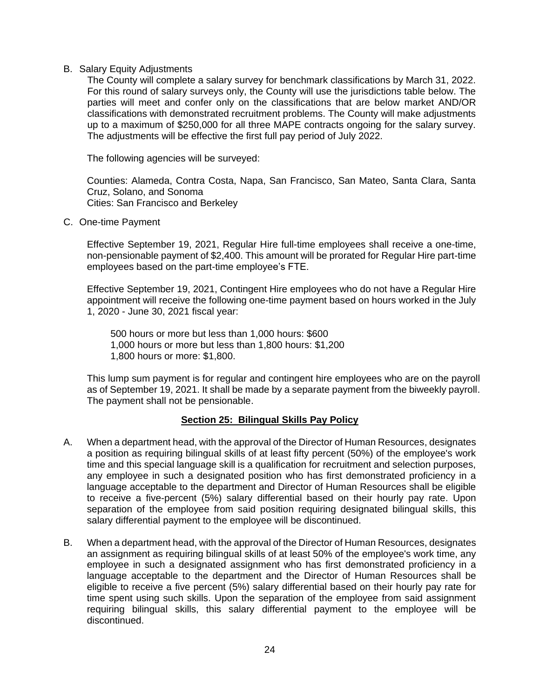#### <span id="page-27-0"></span>B. Salary Equity Adjustments

The County will complete a salary survey for benchmark classifications by March 31, 2022. For this round of salary surveys only, the County will use the jurisdictions table below. The parties will meet and confer only on the classifications that are below market AND/OR classifications with demonstrated recruitment problems. The County will make adjustments up to a maximum of \$250,000 for all three MAPE contracts ongoing for the salary survey. The adjustments will be effective the first full pay period of July 2022.

The following agencies will be surveyed:

Counties: Alameda, Contra Costa, Napa, San Francisco, San Mateo, Santa Clara, Santa Cruz, Solano, and Sonoma Cities: San Francisco and Berkeley

<span id="page-27-1"></span>C. One-time Payment

Effective September 19, 2021, Regular Hire full-time employees shall receive a one-time, non-pensionable payment of \$2,400. This amount will be prorated for Regular Hire part-time employees based on the part-time employee's FTE.

Effective September 19, 2021, Contingent Hire employees who do not have a Regular Hire appointment will receive the following one-time payment based on hours worked in the July 1, 2020 - June 30, 2021 fiscal year:

500 hours or more but less than 1,000 hours: \$600 1,000 hours or more but less than 1,800 hours: \$1,200 1,800 hours or more: \$1,800.

This lump sum payment is for regular and contingent hire employees who are on the payroll as of September 19, 2021. It shall be made by a separate payment from the biweekly payroll. The payment shall not be pensionable.

## **Section 25: Bilingual Skills Pay Policy**

- <span id="page-27-2"></span>A. When a department head, with the approval of the Director of Human Resources, designates a position as requiring bilingual skills of at least fifty percent (50%) of the employee's work time and this special language skill is a qualification for recruitment and selection purposes, any employee in such a designated position who has first demonstrated proficiency in a language acceptable to the department and Director of Human Resources shall be eligible to receive a five-percent (5%) salary differential based on their hourly pay rate. Upon separation of the employee from said position requiring designated bilingual skills, this salary differential payment to the employee will be discontinued.
- B. When a department head, with the approval of the Director of Human Resources, designates an assignment as requiring bilingual skills of at least 50% of the employee's work time, any employee in such a designated assignment who has first demonstrated proficiency in a language acceptable to the department and the Director of Human Resources shall be eligible to receive a five percent (5%) salary differential based on their hourly pay rate for time spent using such skills. Upon the separation of the employee from said assignment requiring bilingual skills, this salary differential payment to the employee will be discontinued.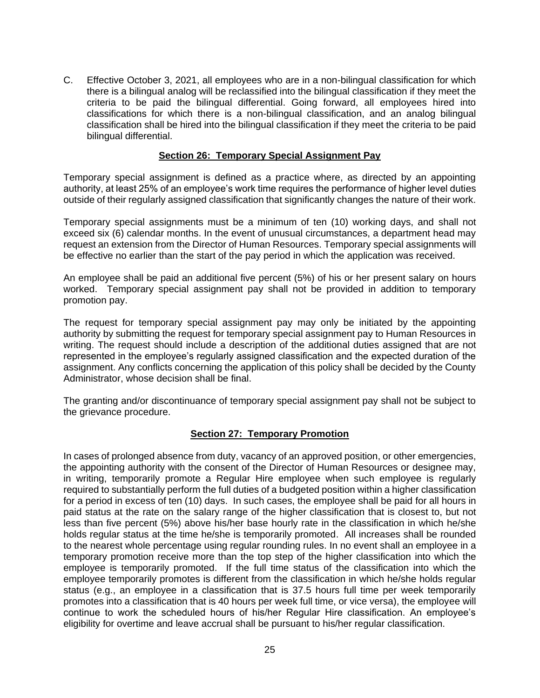C. Effective October 3, 2021, all employees who are in a non-bilingual classification for which there is a bilingual analog will be reclassified into the bilingual classification if they meet the criteria to be paid the bilingual differential. Going forward, all employees hired into classifications for which there is a non-bilingual classification, and an analog bilingual classification shall be hired into the bilingual classification if they meet the criteria to be paid bilingual differential.

## **Section 26: Temporary Special Assignment Pay**

<span id="page-28-0"></span>Temporary special assignment is defined as a practice where, as directed by an appointing authority, at least 25% of an employee's work time requires the performance of higher level duties outside of their regularly assigned classification that significantly changes the nature of their work.

Temporary special assignments must be a minimum of ten (10) working days, and shall not exceed six (6) calendar months. In the event of unusual circumstances, a department head may request an extension from the Director of Human Resources. Temporary special assignments will be effective no earlier than the start of the pay period in which the application was received.

An employee shall be paid an additional five percent (5%) of his or her present salary on hours worked. Temporary special assignment pay shall not be provided in addition to temporary promotion pay.

The request for temporary special assignment pay may only be initiated by the appointing authority by submitting the request for temporary special assignment pay to Human Resources in writing. The request should include a description of the additional duties assigned that are not represented in the employee's regularly assigned classification and the expected duration of the assignment. Any conflicts concerning the application of this policy shall be decided by the County Administrator, whose decision shall be final.

The granting and/or discontinuance of temporary special assignment pay shall not be subject to the grievance procedure.

## **Section 27: Temporary Promotion**

<span id="page-28-1"></span>In cases of prolonged absence from duty, vacancy of an approved position, or other emergencies, the appointing authority with the consent of the Director of Human Resources or designee may, in writing, temporarily promote a Regular Hire employee when such employee is regularly required to substantially perform the full duties of a budgeted position within a higher classification for a period in excess of ten (10) days. In such cases, the employee shall be paid for all hours in paid status at the rate on the salary range of the higher classification that is closest to, but not less than five percent (5%) above his/her base hourly rate in the classification in which he/she holds regular status at the time he/she is temporarily promoted. All increases shall be rounded to the nearest whole percentage using regular rounding rules. In no event shall an employee in a temporary promotion receive more than the top step of the higher classification into which the employee is temporarily promoted. If the full time status of the classification into which the employee temporarily promotes is different from the classification in which he/she holds regular status (e.g., an employee in a classification that is 37.5 hours full time per week temporarily promotes into a classification that is 40 hours per week full time, or vice versa), the employee will continue to work the scheduled hours of his/her Regular Hire classification. An employee's eligibility for overtime and leave accrual shall be pursuant to his/her regular classification.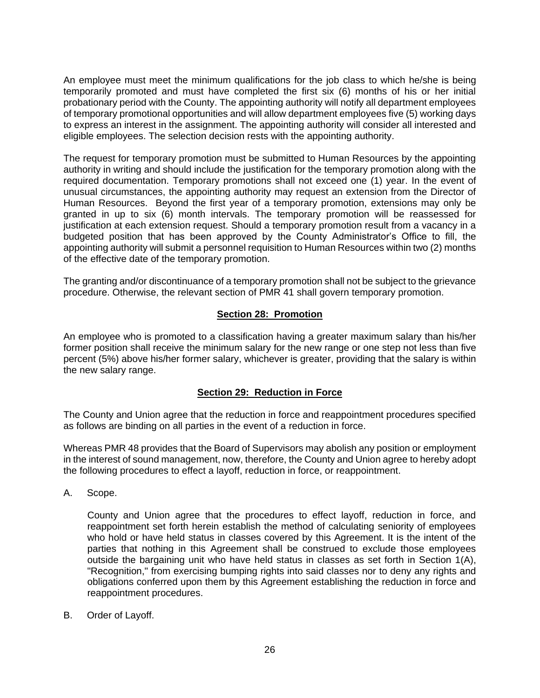An employee must meet the minimum qualifications for the job class to which he/she is being temporarily promoted and must have completed the first six (6) months of his or her initial probationary period with the County. The appointing authority will notify all department employees of temporary promotional opportunities and will allow department employees five (5) working days to express an interest in the assignment. The appointing authority will consider all interested and eligible employees. The selection decision rests with the appointing authority.

The request for temporary promotion must be submitted to Human Resources by the appointing authority in writing and should include the justification for the temporary promotion along with the required documentation. Temporary promotions shall not exceed one (1) year. In the event of unusual circumstances, the appointing authority may request an extension from the Director of Human Resources. Beyond the first year of a temporary promotion, extensions may only be granted in up to six (6) month intervals. The temporary promotion will be reassessed for justification at each extension request. Should a temporary promotion result from a vacancy in a budgeted position that has been approved by the County Administrator's Office to fill, the appointing authority will submit a personnel requisition to Human Resources within two (2) months of the effective date of the temporary promotion.

The granting and/or discontinuance of a temporary promotion shall not be subject to the grievance procedure. Otherwise, the relevant section of PMR 41 shall govern temporary promotion.

## **Section 28: Promotion**

<span id="page-29-0"></span>An employee who is promoted to a classification having a greater maximum salary than his/her former position shall receive the minimum salary for the new range or one step not less than five percent (5%) above his/her former salary, whichever is greater, providing that the salary is within the new salary range.

## **Section 29: Reduction in Force**

<span id="page-29-1"></span>The County and Union agree that the reduction in force and reappointment procedures specified as follows are binding on all parties in the event of a reduction in force.

Whereas PMR 48 provides that the Board of Supervisors may abolish any position or employment in the interest of sound management, now, therefore, the County and Union agree to hereby adopt the following procedures to effect a layoff, reduction in force, or reappointment.

<span id="page-29-2"></span>A. Scope.

County and Union agree that the procedures to effect layoff, reduction in force, and reappointment set forth herein establish the method of calculating seniority of employees who hold or have held status in classes covered by this Agreement. It is the intent of the parties that nothing in this Agreement shall be construed to exclude those employees outside the bargaining unit who have held status in classes as set forth in Section 1(A), "Recognition," from exercising bumping rights into said classes nor to deny any rights and obligations conferred upon them by this Agreement establishing the reduction in force and reappointment procedures.

<span id="page-29-3"></span>B. Order of Layoff.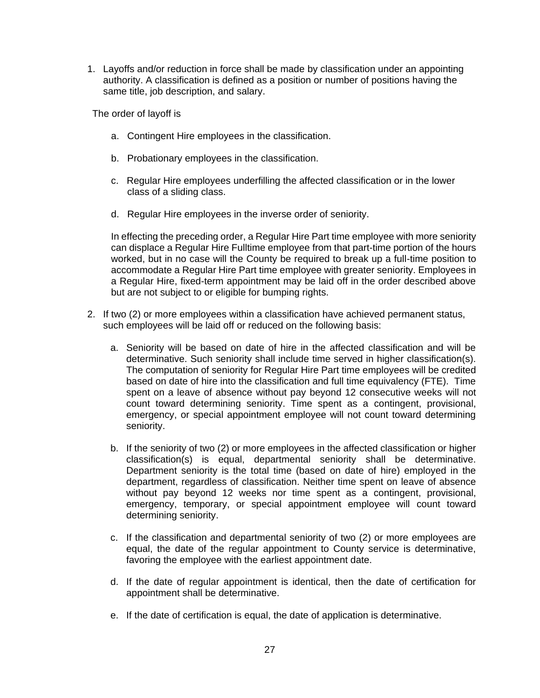1. Layoffs and/or reduction in force shall be made by classification under an appointing authority. A classification is defined as a position or number of positions having the same title, job description, and salary.

The order of layoff is

- a. Contingent Hire employees in the classification.
- b. Probationary employees in the classification.
- c. Regular Hire employees underfilling the affected classification or in the lower class of a sliding class.
- d. Regular Hire employees in the inverse order of seniority.

In effecting the preceding order, a Regular Hire Part time employee with more seniority can displace a Regular Hire Fulltime employee from that part-time portion of the hours worked, but in no case will the County be required to break up a full-time position to accommodate a Regular Hire Part time employee with greater seniority. Employees in a Regular Hire, fixed-term appointment may be laid off in the order described above but are not subject to or eligible for bumping rights.

- 2. If two (2) or more employees within a classification have achieved permanent status, such employees will be laid off or reduced on the following basis:
	- a. Seniority will be based on date of hire in the affected classification and will be determinative. Such seniority shall include time served in higher classification(s). The computation of seniority for Regular Hire Part time employees will be credited based on date of hire into the classification and full time equivalency (FTE). Time spent on a leave of absence without pay beyond 12 consecutive weeks will not count toward determining seniority. Time spent as a contingent, provisional, emergency, or special appointment employee will not count toward determining seniority.
	- b. If the seniority of two (2) or more employees in the affected classification or higher classification(s) is equal, departmental seniority shall be determinative. Department seniority is the total time (based on date of hire) employed in the department, regardless of classification. Neither time spent on leave of absence without pay beyond 12 weeks nor time spent as a contingent, provisional, emergency, temporary, or special appointment employee will count toward determining seniority.
	- c. If the classification and departmental seniority of two (2) or more employees are equal, the date of the regular appointment to County service is determinative, favoring the employee with the earliest appointment date.
	- d. If the date of regular appointment is identical, then the date of certification for appointment shall be determinative.
	- e. If the date of certification is equal, the date of application is determinative.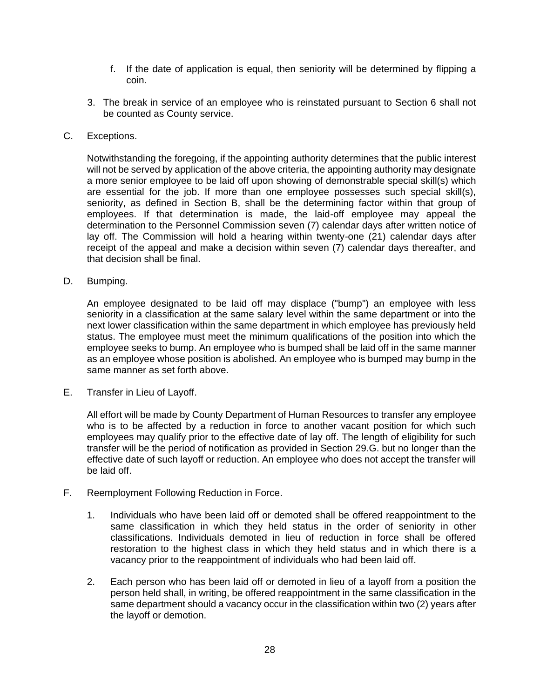- f. If the date of application is equal, then seniority will be determined by flipping a coin.
- 3. The break in service of an employee who is reinstated pursuant to Section 6 shall not be counted as County service.
- <span id="page-31-0"></span>C. Exceptions.

Notwithstanding the foregoing, if the appointing authority determines that the public interest will not be served by application of the above criteria, the appointing authority may designate a more senior employee to be laid off upon showing of demonstrable special skill(s) which are essential for the job. If more than one employee possesses such special skill(s), seniority, as defined in Section B, shall be the determining factor within that group of employees. If that determination is made, the laid-off employee may appeal the determination to the Personnel Commission seven (7) calendar days after written notice of lay off. The Commission will hold a hearing within twenty-one (21) calendar days after receipt of the appeal and make a decision within seven (7) calendar days thereafter, and that decision shall be final.

<span id="page-31-1"></span>D. Bumping.

An employee designated to be laid off may displace ("bump") an employee with less seniority in a classification at the same salary level within the same department or into the next lower classification within the same department in which employee has previously held status. The employee must meet the minimum qualifications of the position into which the employee seeks to bump. An employee who is bumped shall be laid off in the same manner as an employee whose position is abolished. An employee who is bumped may bump in the same manner as set forth above.

<span id="page-31-2"></span>E. Transfer in Lieu of Layoff.

All effort will be made by County Department of Human Resources to transfer any employee who is to be affected by a reduction in force to another vacant position for which such employees may qualify prior to the effective date of lay off. The length of eligibility for such transfer will be the period of notification as provided in Section 29.G. but no longer than the effective date of such layoff or reduction. An employee who does not accept the transfer will be laid off.

- <span id="page-31-3"></span>F. Reemployment Following Reduction in Force.
	- 1. Individuals who have been laid off or demoted shall be offered reappointment to the same classification in which they held status in the order of seniority in other classifications. Individuals demoted in lieu of reduction in force shall be offered restoration to the highest class in which they held status and in which there is a vacancy prior to the reappointment of individuals who had been laid off.
	- 2. Each person who has been laid off or demoted in lieu of a layoff from a position the person held shall, in writing, be offered reappointment in the same classification in the same department should a vacancy occur in the classification within two (2) years after the layoff or demotion.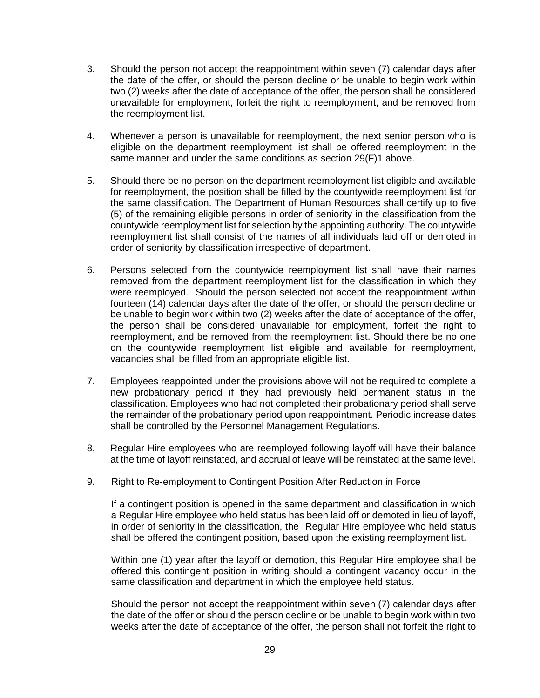- 3. Should the person not accept the reappointment within seven (7) calendar days after the date of the offer, or should the person decline or be unable to begin work within two (2) weeks after the date of acceptance of the offer, the person shall be considered unavailable for employment, forfeit the right to reemployment, and be removed from the reemployment list.
- 4. Whenever a person is unavailable for reemployment, the next senior person who is eligible on the department reemployment list shall be offered reemployment in the same manner and under the same conditions as section 29(F)1 above.
- 5. Should there be no person on the department reemployment list eligible and available for reemployment, the position shall be filled by the countywide reemployment list for the same classification. The Department of Human Resources shall certify up to five (5) of the remaining eligible persons in order of seniority in the classification from the countywide reemployment list for selection by the appointing authority. The countywide reemployment list shall consist of the names of all individuals laid off or demoted in order of seniority by classification irrespective of department.
- 6. Persons selected from the countywide reemployment list shall have their names removed from the department reemployment list for the classification in which they were reemployed. Should the person selected not accept the reappointment within fourteen (14) calendar days after the date of the offer, or should the person decline or be unable to begin work within two (2) weeks after the date of acceptance of the offer, the person shall be considered unavailable for employment, forfeit the right to reemployment, and be removed from the reemployment list. Should there be no one on the countywide reemployment list eligible and available for reemployment, vacancies shall be filled from an appropriate eligible list.
- 7. Employees reappointed under the provisions above will not be required to complete a new probationary period if they had previously held permanent status in the classification. Employees who had not completed their probationary period shall serve the remainder of the probationary period upon reappointment. Periodic increase dates shall be controlled by the Personnel Management Regulations.
- 8. Regular Hire employees who are reemployed following layoff will have their balance at the time of layoff reinstated, and accrual of leave will be reinstated at the same level.
- 9. Right to Re-employment to Contingent Position After Reduction in Force

If a contingent position is opened in the same department and classification in which a Regular Hire employee who held status has been laid off or demoted in lieu of layoff, in order of seniority in the classification, the Regular Hire employee who held status shall be offered the contingent position, based upon the existing reemployment list.

Within one (1) year after the layoff or demotion, this Regular Hire employee shall be offered this contingent position in writing should a contingent vacancy occur in the same classification and department in which the employee held status.

Should the person not accept the reappointment within seven (7) calendar days after the date of the offer or should the person decline or be unable to begin work within two weeks after the date of acceptance of the offer, the person shall not forfeit the right to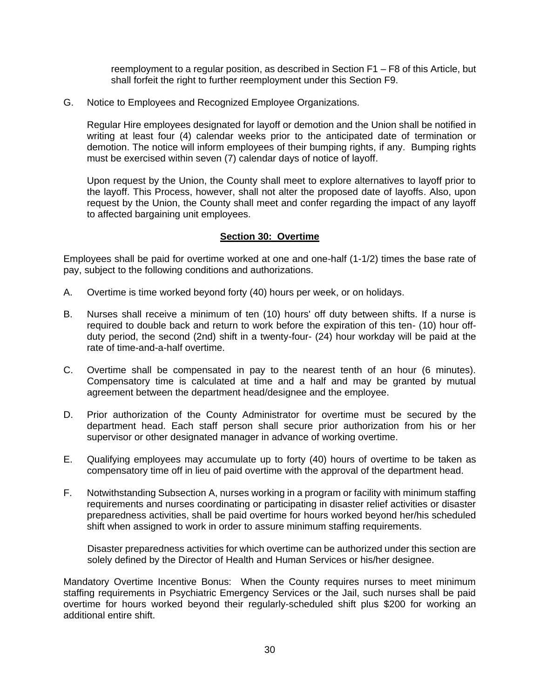reemployment to a regular position, as described in Section F1 – F8 of this Article, but shall forfeit the right to further reemployment under this Section F9.

<span id="page-33-0"></span>G. Notice to Employees and Recognized Employee Organizations.

Regular Hire employees designated for layoff or demotion and the Union shall be notified in writing at least four (4) calendar weeks prior to the anticipated date of termination or demotion. The notice will inform employees of their bumping rights, if any. Bumping rights must be exercised within seven (7) calendar days of notice of layoff.

Upon request by the Union, the County shall meet to explore alternatives to layoff prior to the layoff. This Process, however, shall not alter the proposed date of layoffs. Also, upon request by the Union, the County shall meet and confer regarding the impact of any layoff to affected bargaining unit employees.

### **Section 30: Overtime**

<span id="page-33-1"></span>Employees shall be paid for overtime worked at one and one-half (1-1/2) times the base rate of pay, subject to the following conditions and authorizations.

- A. Overtime is time worked beyond forty (40) hours per week, or on holidays.
- B. Nurses shall receive a minimum of ten (10) hours' off duty between shifts. If a nurse is required to double back and return to work before the expiration of this ten- (10) hour offduty period, the second (2nd) shift in a twenty-four- (24) hour workday will be paid at the rate of time-and-a-half overtime.
- C. Overtime shall be compensated in pay to the nearest tenth of an hour (6 minutes). Compensatory time is calculated at time and a half and may be granted by mutual agreement between the department head/designee and the employee.
- D. Prior authorization of the County Administrator for overtime must be secured by the department head. Each staff person shall secure prior authorization from his or her supervisor or other designated manager in advance of working overtime.
- E. Qualifying employees may accumulate up to forty (40) hours of overtime to be taken as compensatory time off in lieu of paid overtime with the approval of the department head.
- F. Notwithstanding Subsection A, nurses working in a program or facility with minimum staffing requirements and nurses coordinating or participating in disaster relief activities or disaster preparedness activities, shall be paid overtime for hours worked beyond her/his scheduled shift when assigned to work in order to assure minimum staffing requirements.

Disaster preparedness activities for which overtime can be authorized under this section are solely defined by the Director of Health and Human Services or his/her designee.

Mandatory Overtime Incentive Bonus: When the County requires nurses to meet minimum staffing requirements in Psychiatric Emergency Services or the Jail, such nurses shall be paid overtime for hours worked beyond their regularly-scheduled shift plus \$200 for working an additional entire shift.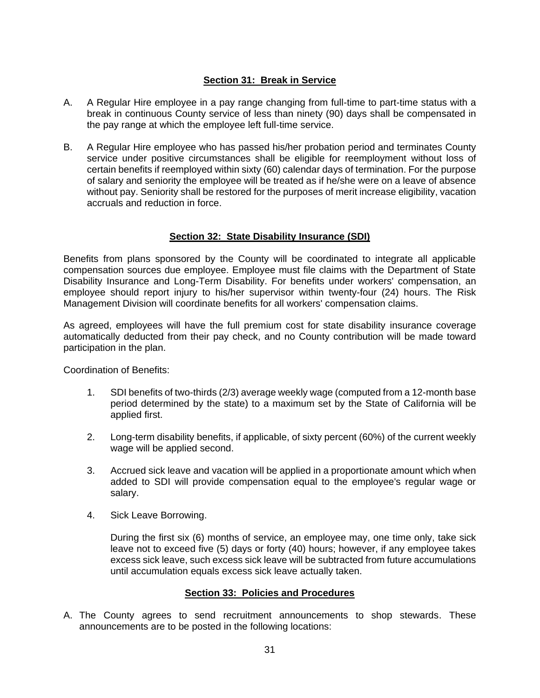## **Section 31: Break in Service**

- <span id="page-34-0"></span>A. A Regular Hire employee in a pay range changing from full-time to part-time status with a break in continuous County service of less than ninety (90) days shall be compensated in the pay range at which the employee left full-time service.
- B. A Regular Hire employee who has passed his/her probation period and terminates County service under positive circumstances shall be eligible for reemployment without loss of certain benefits if reemployed within sixty (60) calendar days of termination. For the purpose of salary and seniority the employee will be treated as if he/she were on a leave of absence without pay. Seniority shall be restored for the purposes of merit increase eligibility, vacation accruals and reduction in force.

## **Section 32: State Disability Insurance (SDI)**

<span id="page-34-1"></span>Benefits from plans sponsored by the County will be coordinated to integrate all applicable compensation sources due employee. Employee must file claims with the Department of State Disability Insurance and Long-Term Disability. For benefits under workers' compensation, an employee should report injury to his/her supervisor within twenty-four (24) hours. The Risk Management Division will coordinate benefits for all workers' compensation claims.

As agreed, employees will have the full premium cost for state disability insurance coverage automatically deducted from their pay check, and no County contribution will be made toward participation in the plan.

Coordination of Benefits:

- 1. SDI benefits of two-thirds (2/3) average weekly wage (computed from a 12-month base period determined by the state) to a maximum set by the State of California will be applied first.
- 2. Long-term disability benefits, if applicable, of sixty percent (60%) of the current weekly wage will be applied second.
- 3. Accrued sick leave and vacation will be applied in a proportionate amount which when added to SDI will provide compensation equal to the employee's regular wage or salary.
- 4. Sick Leave Borrowing.

During the first six (6) months of service, an employee may, one time only, take sick leave not to exceed five (5) days or forty (40) hours; however, if any employee takes excess sick leave, such excess sick leave will be subtracted from future accumulations until accumulation equals excess sick leave actually taken.

## **Section 33: Policies and Procedures**

<span id="page-34-2"></span>A. The County agrees to send recruitment announcements to shop stewards. These announcements are to be posted in the following locations: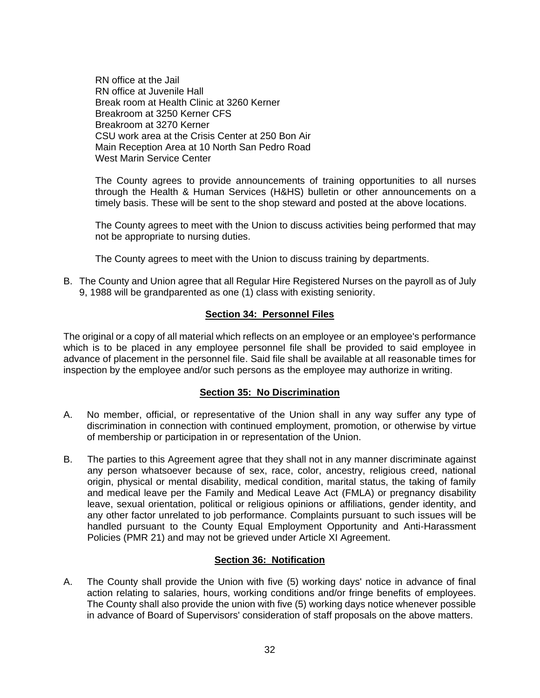RN office at the Jail RN office at Juvenile Hall Break room at Health Clinic at 3260 Kerner Breakroom at 3250 Kerner CFS Breakroom at 3270 Kerner CSU work area at the Crisis Center at 250 Bon Air Main Reception Area at 10 North San Pedro Road West Marin Service Center

The County agrees to provide announcements of training opportunities to all nurses through the Health & Human Services (H&HS) bulletin or other announcements on a timely basis. These will be sent to the shop steward and posted at the above locations.

The County agrees to meet with the Union to discuss activities being performed that may not be appropriate to nursing duties.

The County agrees to meet with the Union to discuss training by departments.

B. The County and Union agree that all Regular Hire Registered Nurses on the payroll as of July 9, 1988 will be grandparented as one (1) class with existing seniority.

### **Section 34: Personnel Files**

<span id="page-35-0"></span>The original or a copy of all material which reflects on an employee or an employee's performance which is to be placed in any employee personnel file shall be provided to said employee in advance of placement in the personnel file. Said file shall be available at all reasonable times for inspection by the employee and/or such persons as the employee may authorize in writing.

## **Section 35: No Discrimination**

- <span id="page-35-1"></span>A. No member, official, or representative of the Union shall in any way suffer any type of discrimination in connection with continued employment, promotion, or otherwise by virtue of membership or participation in or representation of the Union.
- B. The parties to this Agreement agree that they shall not in any manner discriminate against any person whatsoever because of sex, race, color, ancestry, religious creed, national origin, physical or mental disability, medical condition, marital status, the taking of family and medical leave per the Family and Medical Leave Act (FMLA) or pregnancy disability leave, sexual orientation, political or religious opinions or affiliations, gender identity, and any other factor unrelated to job performance. Complaints pursuant to such issues will be handled pursuant to the County Equal Employment Opportunity and Anti-Harassment Policies (PMR 21) and may not be grieved under Article XI Agreement.

## **Section 36: Notification**

<span id="page-35-2"></span>A. The County shall provide the Union with five (5) working days' notice in advance of final action relating to salaries, hours, working conditions and/or fringe benefits of employees. The County shall also provide the union with five (5) working days notice whenever possible in advance of Board of Supervisors' consideration of staff proposals on the above matters.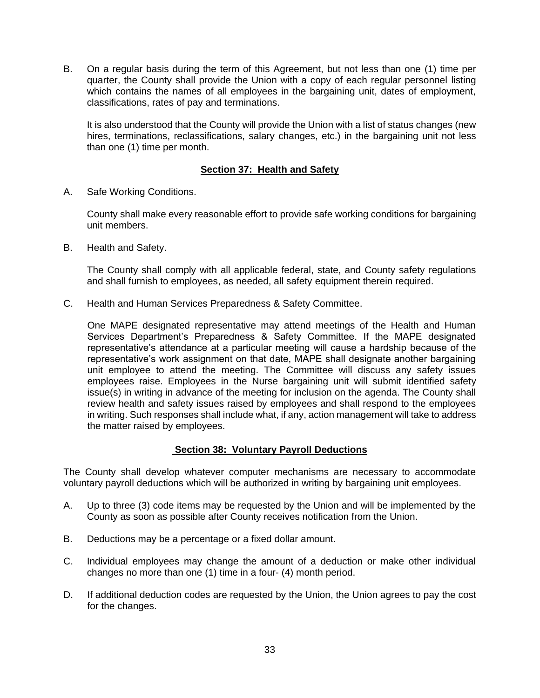B. On a regular basis during the term of this Agreement, but not less than one (1) time per quarter, the County shall provide the Union with a copy of each regular personnel listing which contains the names of all employees in the bargaining unit, dates of employment, classifications, rates of pay and terminations.

It is also understood that the County will provide the Union with a list of status changes (new hires, terminations, reclassifications, salary changes, etc.) in the bargaining unit not less than one (1) time per month.

## **Section 37: Health and Safety**

<span id="page-36-1"></span><span id="page-36-0"></span>A. Safe Working Conditions.

County shall make every reasonable effort to provide safe working conditions for bargaining unit members.

<span id="page-36-2"></span>B. Health and Safety.

The County shall comply with all applicable federal, state, and County safety regulations and shall furnish to employees, as needed, all safety equipment therein required.

<span id="page-36-3"></span>C. Health and Human Services Preparedness & Safety Committee.

One MAPE designated representative may attend meetings of the Health and Human Services Department's Preparedness & Safety Committee. If the MAPE designated representative's attendance at a particular meeting will cause a hardship because of the representative's work assignment on that date, MAPE shall designate another bargaining unit employee to attend the meeting. The Committee will discuss any safety issues employees raise. Employees in the Nurse bargaining unit will submit identified safety issue(s) in writing in advance of the meeting for inclusion on the agenda. The County shall review health and safety issues raised by employees and shall respond to the employees in writing. Such responses shall include what, if any, action management will take to address the matter raised by employees.

## <span id="page-36-4"></span>**Section 38: Voluntary Payroll Deductions**

The County shall develop whatever computer mechanisms are necessary to accommodate voluntary payroll deductions which will be authorized in writing by bargaining unit employees.

- A. Up to three (3) code items may be requested by the Union and will be implemented by the County as soon as possible after County receives notification from the Union.
- B. Deductions may be a percentage or a fixed dollar amount.
- C. Individual employees may change the amount of a deduction or make other individual changes no more than one (1) time in a four- (4) month period.
- D. If additional deduction codes are requested by the Union, the Union agrees to pay the cost for the changes.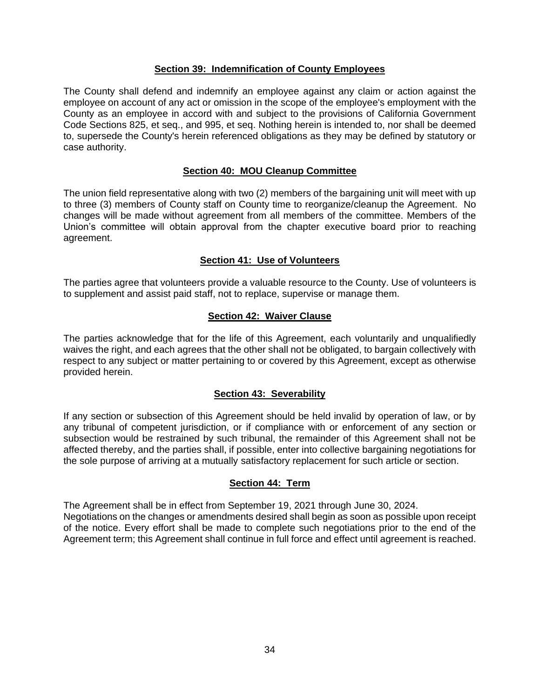#### **Section 39: Indemnification of County Employees**

<span id="page-37-0"></span>The County shall defend and indemnify an employee against any claim or action against the employee on account of any act or omission in the scope of the employee's employment with the County as an employee in accord with and subject to the provisions of California Government Code Sections 825, et seq., and 995, et seq. Nothing herein is intended to, nor shall be deemed to, supersede the County's herein referenced obligations as they may be defined by statutory or case authority.

## **Section 40: MOU Cleanup Committee**

<span id="page-37-1"></span>The union field representative along with two (2) members of the bargaining unit will meet with up to three (3) members of County staff on County time to reorganize/cleanup the Agreement. No changes will be made without agreement from all members of the committee. Members of the Union's committee will obtain approval from the chapter executive board prior to reaching agreement.

### **Section 41: Use of Volunteers**

<span id="page-37-2"></span>The parties agree that volunteers provide a valuable resource to the County. Use of volunteers is to supplement and assist paid staff, not to replace, supervise or manage them.

### **Section 42: Waiver Clause**

<span id="page-37-3"></span>The parties acknowledge that for the life of this Agreement, each voluntarily and unqualifiedly waives the right, and each agrees that the other shall not be obligated, to bargain collectively with respect to any subject or matter pertaining to or covered by this Agreement, except as otherwise provided herein.

#### **Section 43: Severability**

<span id="page-37-4"></span>If any section or subsection of this Agreement should be held invalid by operation of law, or by any tribunal of competent jurisdiction, or if compliance with or enforcement of any section or subsection would be restrained by such tribunal, the remainder of this Agreement shall not be affected thereby, and the parties shall, if possible, enter into collective bargaining negotiations for the sole purpose of arriving at a mutually satisfactory replacement for such article or section.

## **Section 44: Term**

<span id="page-37-5"></span>The Agreement shall be in effect from September 19, 2021 through June 30, 2024. Negotiations on the changes or amendments desired shall begin as soon as possible upon receipt of the notice. Every effort shall be made to complete such negotiations prior to the end of the Agreement term; this Agreement shall continue in full force and effect until agreement is reached.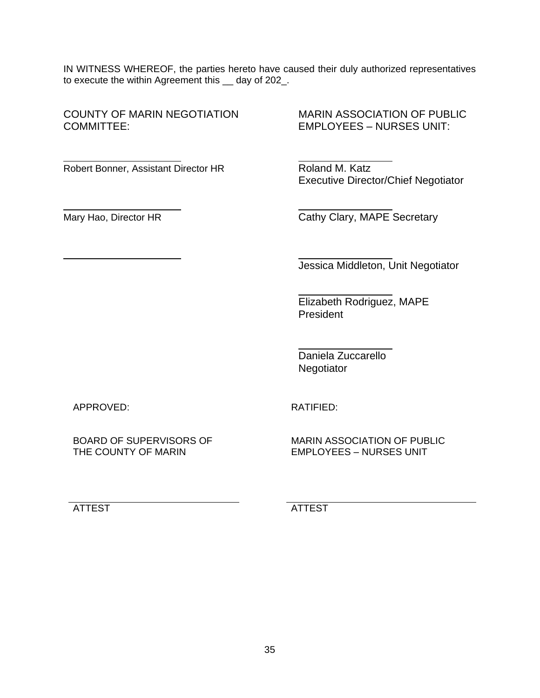IN WITNESS WHEREOF, the parties hereto have caused their duly authorized representatives to execute the within Agreement this \_\_ day of 202\_.

COUNTY OF MARIN NEGOTIATION MARIN ASSOCIATION OF PUBLIC COMMITTEE: EMPLOYEES – NURSES UNIT:

Robert Bonner, Assistant Director HR Roland M. Katz

 $\overline{a}$ 

l

l

Executive Director/Chief Negotiator

Mary Hao, Director HR Cathy Clary, MAPE Secretary

Jessica Middleton, Unit Negotiator

Elizabeth Rodriguez, MAPE President

Daniela Zuccarello Negotiator

APPROVED:

RATIFIED:

 $\overline{a}$ 

 $\overline{a}$ 

BOARD OF SUPERVISORS OF THE COUNTY OF MARIN

MARIN ASSOCIATION OF PUBLIC EMPLOYEES – NURSES UNIT

ATTEST ATTEST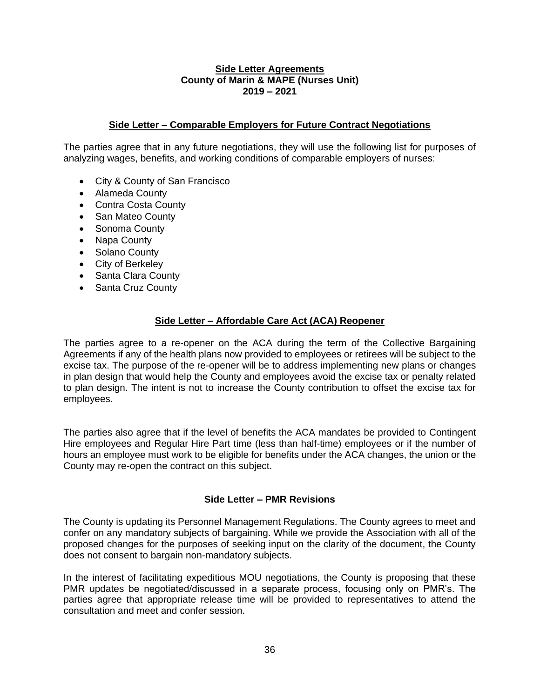#### **Side Letter Agreements County of Marin & MAPE (Nurses Unit) 2019 – 2021**

### <span id="page-39-0"></span>**Side Letter – Comparable Employers for Future Contract Negotiations**

<span id="page-39-1"></span>The parties agree that in any future negotiations, they will use the following list for purposes of analyzing wages, benefits, and working conditions of comparable employers of nurses:

- City & County of San Francisco
- Alameda County
- Contra Costa County
- San Mateo County
- Sonoma County
- Napa County
- Solano County
- City of Berkeley
- Santa Clara County
- Santa Cruz County

#### **Side Letter – Affordable Care Act (ACA) Reopener**

<span id="page-39-2"></span>The parties agree to a re-opener on the ACA during the term of the Collective Bargaining Agreements if any of the health plans now provided to employees or retirees will be subject to the excise tax. The purpose of the re-opener will be to address implementing new plans or changes in plan design that would help the County and employees avoid the excise tax or penalty related to plan design. The intent is not to increase the County contribution to offset the excise tax for employees.

The parties also agree that if the level of benefits the ACA mandates be provided to Contingent Hire employees and Regular Hire Part time (less than half-time) employees or if the number of hours an employee must work to be eligible for benefits under the ACA changes, the union or the County may re-open the contract on this subject.

## **Side Letter – PMR Revisions**

The County is updating its Personnel Management Regulations. The County agrees to meet and confer on any mandatory subjects of bargaining. While we provide the Association with all of the proposed changes for the purposes of seeking input on the clarity of the document, the County does not consent to bargain non-mandatory subjects.

In the interest of facilitating expeditious MOU negotiations, the County is proposing that these PMR updates be negotiated/discussed in a separate process, focusing only on PMR's. The parties agree that appropriate release time will be provided to representatives to attend the consultation and meet and confer session.